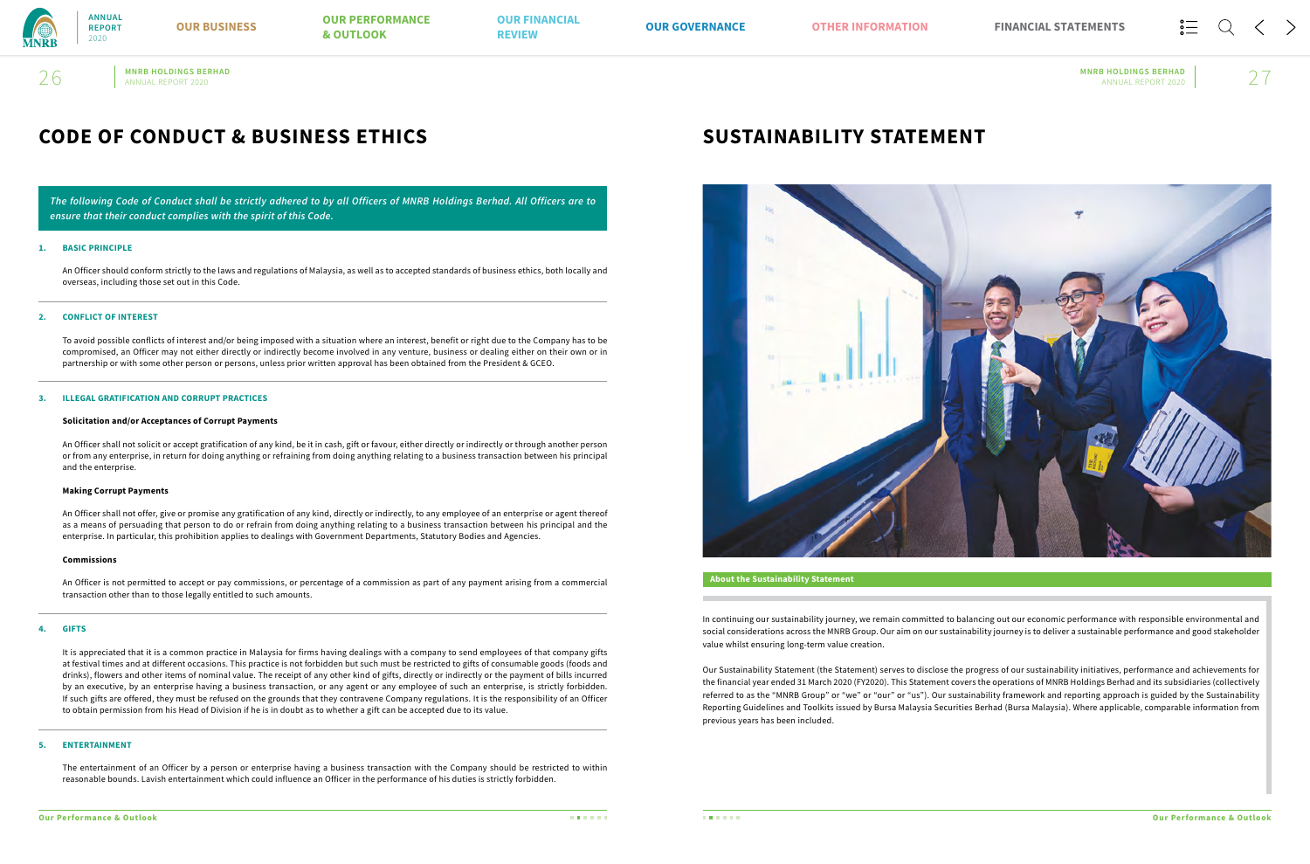# **MNRB HOLDINGS BERHAD MNRB HOLDINGS BERHAD**  $26$  MNRB HOLDINGS BERHAD MNRB HOLDINGS BERHAD ANNUAL REPORT 2020  $\vert$  27

# **CODE OF CONDUCT & BUSINESS ETHICS**

*The following Code of Conduct shall be strictly adhered to by all Officers of MNRB Holdings Berhad. All Officers are to ensure that their conduct complies with the spirit of this Code.*

### **1. BASIC PRINCIPLE**

An Officer should conform strictly to the laws and regulations of Malaysia, as well as to accepted standards of business ethics, both locally and overseas, including those set out in this Code.

### **2. CONFLICT OF INTEREST**

To avoid possible conflicts of interest and/or being imposed with a situation where an interest, benefit or right due to the Company has to be compromised, an Officer may not either directly or indirectly become involved in any venture, business or dealing either on their own or in partnership or with some other person or persons, unless prior written approval has been obtained from the President & GCEO.

### **3. ILLEGAL GRATIFICATION AND CORRUPT PRACTICES**

### **Solicitation and/or Acceptances of Corrupt Payments**

An Officer shall not solicit or accept gratification of any kind, be it in cash, gift or favour, either directly or indirectly or through another person or from any enterprise, in return for doing anything or refraining from doing anything relating to a business transaction between his principal and the enterprise.

### **Making Corrupt Payments**

 An Officer shall not offer, give or promise any gratification of any kind, directly or indirectly, to any employee of an enterprise or agent thereof as a means of persuading that person to do or refrain from doing anything relating to a business transaction between his principal and the enterprise. In particular, this prohibition applies to dealings with Government Departments, Statutory Bodies and Agencies.

### **Commissions**

An Officer is not permitted to accept or pay commissions, or percentage of a commission as part of any payment arising from a commercial transaction other than to those legally entitled to such amounts.

### **4. GIFTS**

 It is appreciated that it is a common practice in Malaysia for firms having dealings with a company to send employees of that company gifts at festival times and at different occasions. This practice is not forbidden but such must be restricted to gifts of consumable goods (foods and drinks), flowers and other items of nominal value. The receipt of any other kind of gifts, directly or indirectly or the payment of bills incurred by an executive, by an enterprise having a business transaction, or any agent or any employee of such an enterprise, is strictly forbidden. If such gifts are offered, they must be refused on the grounds that they contravene Company regulations. It is the responsibility of an Officer to obtain permission from his Head of Division if he is in doubt as to whether a gift can be accepted due to its value.

### **5. ENTERTAINMENT**

 The entertainment of an Officer by a person or enterprise having a business transaction with the Company should be restricted to within reasonable bounds. Lavish entertainment which could influence an Officer in the performance of his duties is strictly forbidden.

# **SUSTAINABILITY STATEMENT**



In continuing our sustainability journey, we remain committed to balancing out our economic performance with responsible environmental and social considerations across the MNRB Group. Our aim on our sustainability journey is to deliver a sustainable performance and good stakeholder value whilst ensuring long-term value creation.

Our Sustainability Statement (the Statement) serves to disclose the progress of our sustainability initiatives, performance and achievements for the financial year ended 31 March 2020 (FY2020). This Statement covers the operations of MNRB Holdings Berhad and its subsidiaries (collectively referred to as the "MNRB Group" or "we" or "our" or "us"). Our sustainability framework and reporting approach is guided by the Sustainability Reporting Guidelines and Toolkits issued by Bursa Malaysia Securities Berhad (Bursa Malaysia). Where applicable, comparable information from previous years has been included.

### **About the Sustainability Statement**



**ANNUAL REPORT** 2020

**OUR BUSINESS OUR PERFORMANCE OUR FINANCIAL<br>
<b>EVIEW** & OUTLOOK REVIEW **REVIEW OUR GOVERNANCE FINANCIAL STATEMENTS OUR PERFORMANCE EXAMPLE 20 AND REVIEW CONTRACT SOME SERVICE OF A SERVICE OF A SERVICE AND REVIEW OF A SERVICE SERVICE OF A SERVICE SERVICE OF A SERVICE OF A SERVICE OF A SERVICE OF A SERVICE OF A SERVICE OF A SERVICE OF A SERVICE OF A SE**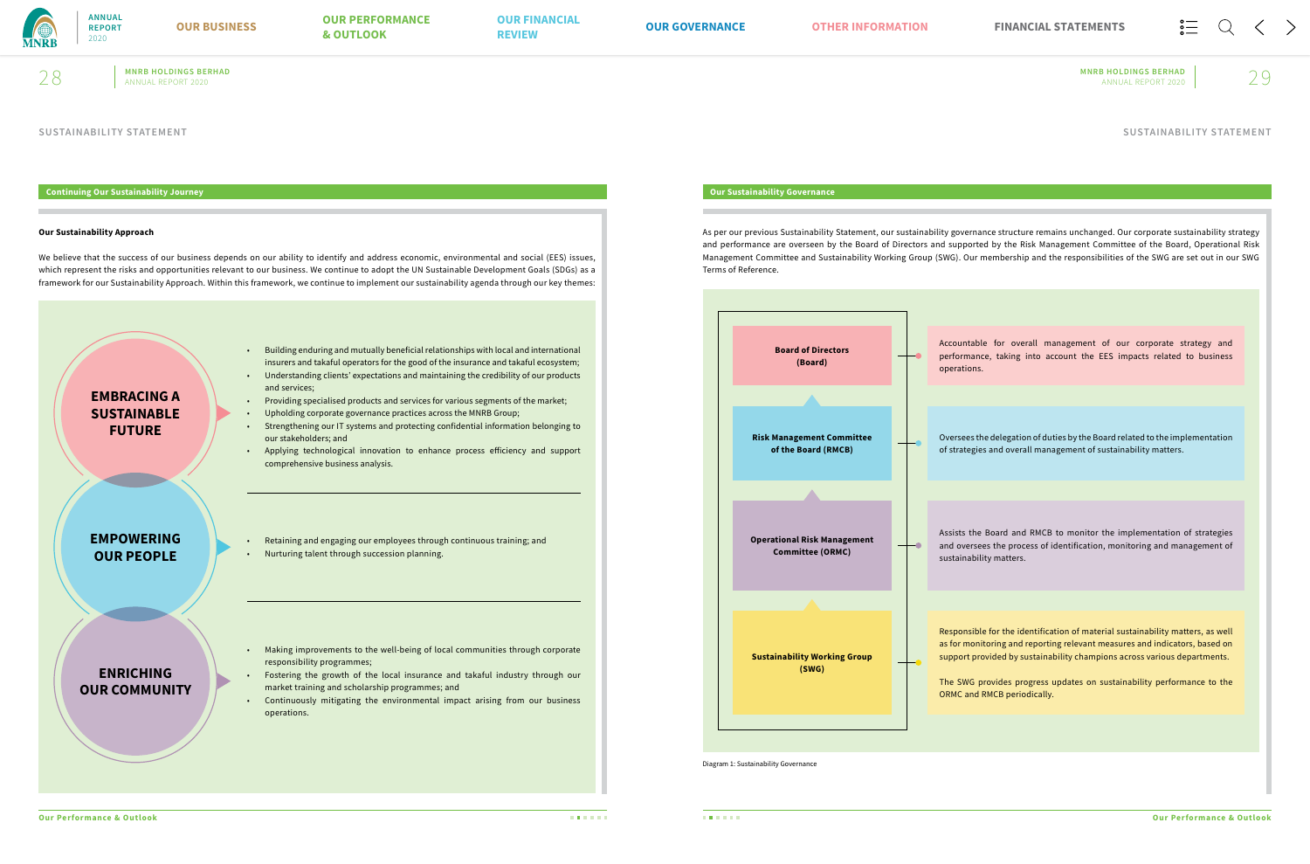

# **MNRB HOLDINGS BERHAD MNRB HOLDINGS BERHAD**  $28$  MNRB HOLDINGS BERHAD MNRB HOLDINGS BERHAD ANNUAL REPORT 2020  $\vert$  29

### **SUSTAINABILITY STATEMENT**

### **Continuing Our Sustainability Journey**

### **Our Sustainability Approach**

We believe that the success of our business depends on our ability to identify and address economic, environmental and social (EES) issues, which represent the risks and opportunities relevant to our business. We continue to adopt the UN Sustainable Development Goals (SDGs) as a framework for our Sustainability Approach. Within this framework, we continue to implement our sustainability agenda through our key themes:

- Building enduring and mutually beneficial relationships with local and international insurers and takaful operators for the good of the insurance and takaful ecosystem; • Understanding clients' expectations and maintaining the credibility of our products
- and services; • Providing specialised products and services for various segments of the market;
- Upholding corporate governance practices across the MNRB Group;
- Strengthening our IT systems and protecting confidential information belonging to our stakeholders; and
- Applying technological innovation to enhance process efficiency and support comprehensive business analysis.

• Retaining and engaging our employees through continuous training; and • Nurturing talent through succession planning.

- Making improvements to the well-being of local communities through corporate responsibility programmes;
- Fostering the growth of the local insurance and takaful industry through our market training and scholarship programmes; and
- Continuously mitigating the environmental impact arising from our business operations.



# **Our Sustainability Governance**

As per our previous Sustainability Statement, our sustainability governance structure remains unchanged. Our corporate sustainability strategy and performance are overseen by the Board of Directors and supported by the Risk Management Committee of the Board, Operational Risk Management Committee and Sustainability Working Group (SWG). Our membership and the responsibilities of the SWG are set out in our SWG Terms of Reference.

Diagram 1: Sustainability Governance

Accountable for overall management of our corporate strategy and performance, taking into account the EES impacts related to business operations.

Oversees the delegation of duties by the Board related to the implementation of strategies and overall management of sustainability matters.



Assists the Board and RMCB to monitor the implementation of strategies and oversees the process of identification, monitoring and management of sustainability matters.

Responsible for the identification of material sustainability matters, as well as for monitoring and reporting relevant measures and indicators, based on support provided by sustainability champions across various departments.

The SWG provides progress updates on sustainability performance to the ORMC and RMCB periodically.

**SUSTAINABILITY STATEMENT**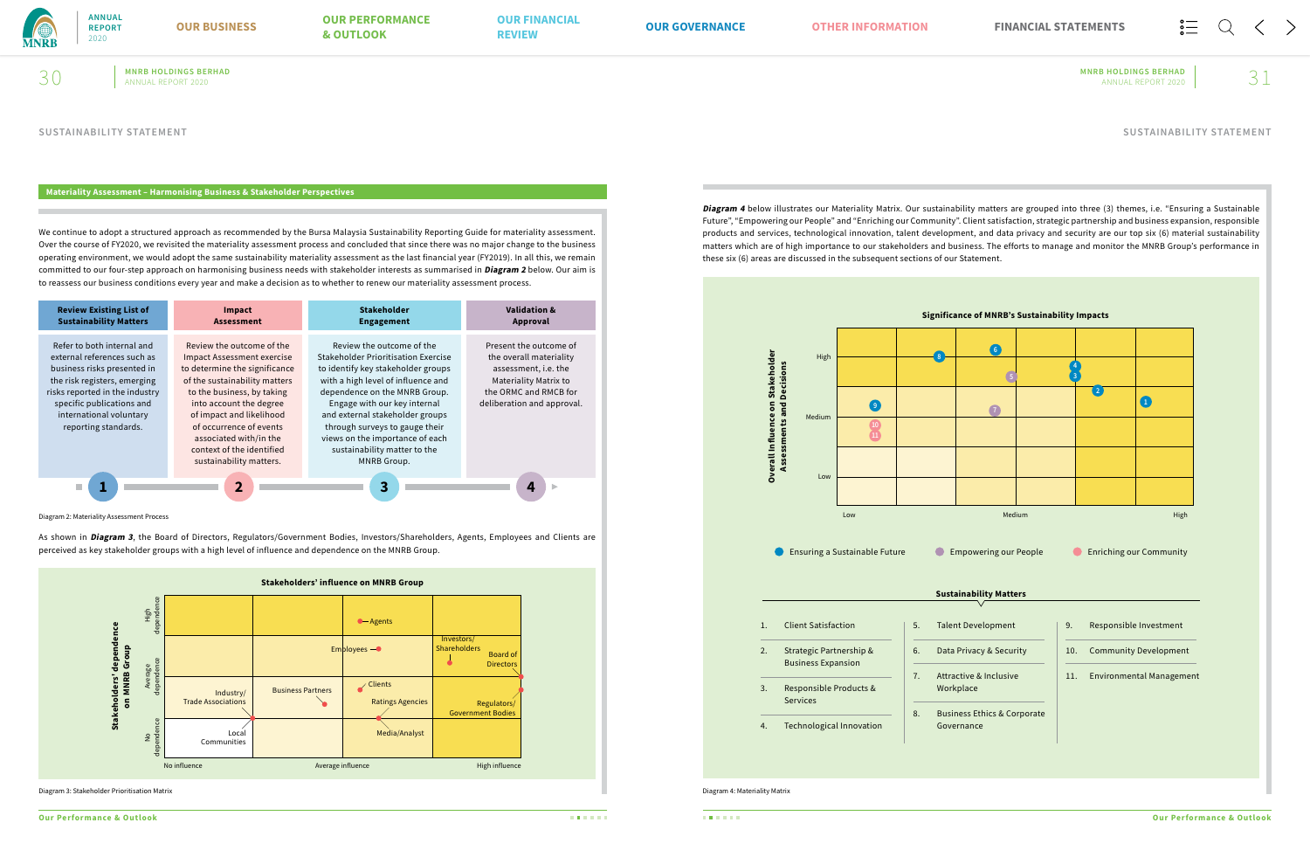

 $30$  MNRB HOLDINGS BERHAD ANNUAL REPORT 2020  $\mid$  31

**MNRB HOLDINGS BERHAD MNRB HOLDINGS BERHAD**

### **Materiality Assessment – Harmonising Business & Stakeholder Perspectives**

As shown in **Diagram 3**, the Board of Directors, Regulators/Government Bodies, Investors/Shareholders, Agents, Employees and Clients are perceived as key stakeholder groups with a high level of influence and dependence on the MNRB Group.

We continue to adopt a structured approach as recommended by the Bursa Malaysia Sustainability Reporting Guide for materiality assessment. Over the course of FY2020, we revisited the materiality assessment process and concluded that since there was no major change to the business operating environment, we would adopt the same sustainability materiality assessment as the last financial year (FY2019). In all this, we remain committed to our four-step approach on harmonising business needs with stakeholder interests as summarised in **Diagram 2** below. Our aim is to reassess our business conditions every year and make a decision as to whether to renew our materiality assessment process.

| <b>Review Existing List of</b><br><b>Sustainability Matters</b>                                                                                                                                                                            | Impact<br><b>Assessment</b>                                                                                                                                                                                                                                                                                                        | <b>Stakeholder</b><br><b>Engagement</b>                                                                                                                                                                                                                                                                                                                              | <b>Validation &amp;</b><br>Approval                                                                                                                              |
|--------------------------------------------------------------------------------------------------------------------------------------------------------------------------------------------------------------------------------------------|------------------------------------------------------------------------------------------------------------------------------------------------------------------------------------------------------------------------------------------------------------------------------------------------------------------------------------|----------------------------------------------------------------------------------------------------------------------------------------------------------------------------------------------------------------------------------------------------------------------------------------------------------------------------------------------------------------------|------------------------------------------------------------------------------------------------------------------------------------------------------------------|
| Refer to both internal and<br>external references such as<br>business risks presented in<br>the risk registers, emerging<br>risks reported in the industry<br>specific publications and<br>international voluntary<br>reporting standards. | Review the outcome of the<br><b>Impact Assessment exercise</b><br>to determine the significance<br>of the sustainability matters<br>to the business, by taking<br>into account the degree<br>of impact and likelihood<br>of occurrence of events<br>associated with/in the<br>context of the identified<br>sustainability matters. | Review the outcome of the<br>Stakeholder Prioritisation Exercise<br>to identify key stakeholder groups<br>with a high level of influence and<br>dependence on the MNRB Group.<br>Engage with our key internal<br>and external stakeholder groups<br>through surveys to gauge their<br>views on the importance of each<br>sustainability matter to the<br>MNRB Group. | Present the outcome of<br>the overall materiality<br>assessment, i.e. the<br><b>Materiality Matrix to</b><br>the ORMC and RMCB for<br>deliberation and approval. |
|                                                                                                                                                                                                                                            | $\overline{2}$                                                                                                                                                                                                                                                                                                                     | 3                                                                                                                                                                                                                                                                                                                                                                    |                                                                                                                                                                  |

Diagram 2: Materiality Assessment Process



**Diagram 4** below illustrates our Materiality Matrix. Our sustainability matters are grouped into three (3) themes, i.e. "Ensuring a Sustainable Future", "Empowering our People" and "Enriching our Community". Client satisfaction, strategic partnership and business expansion, responsible products and services, technological innovation, talent development, and data privacy and security are our top six (6) material sustainability matters which are of high importance to our stakeholders and business. The efforts to manage and monitor the MNRB Group's performance in these six (6) areas are discussed in the subsequent sections of our Statement.

Diagram 4: Materiality Matrix



### **SUSTAINABILITY STATEMENT SUSTAINABILITY STATEMENT**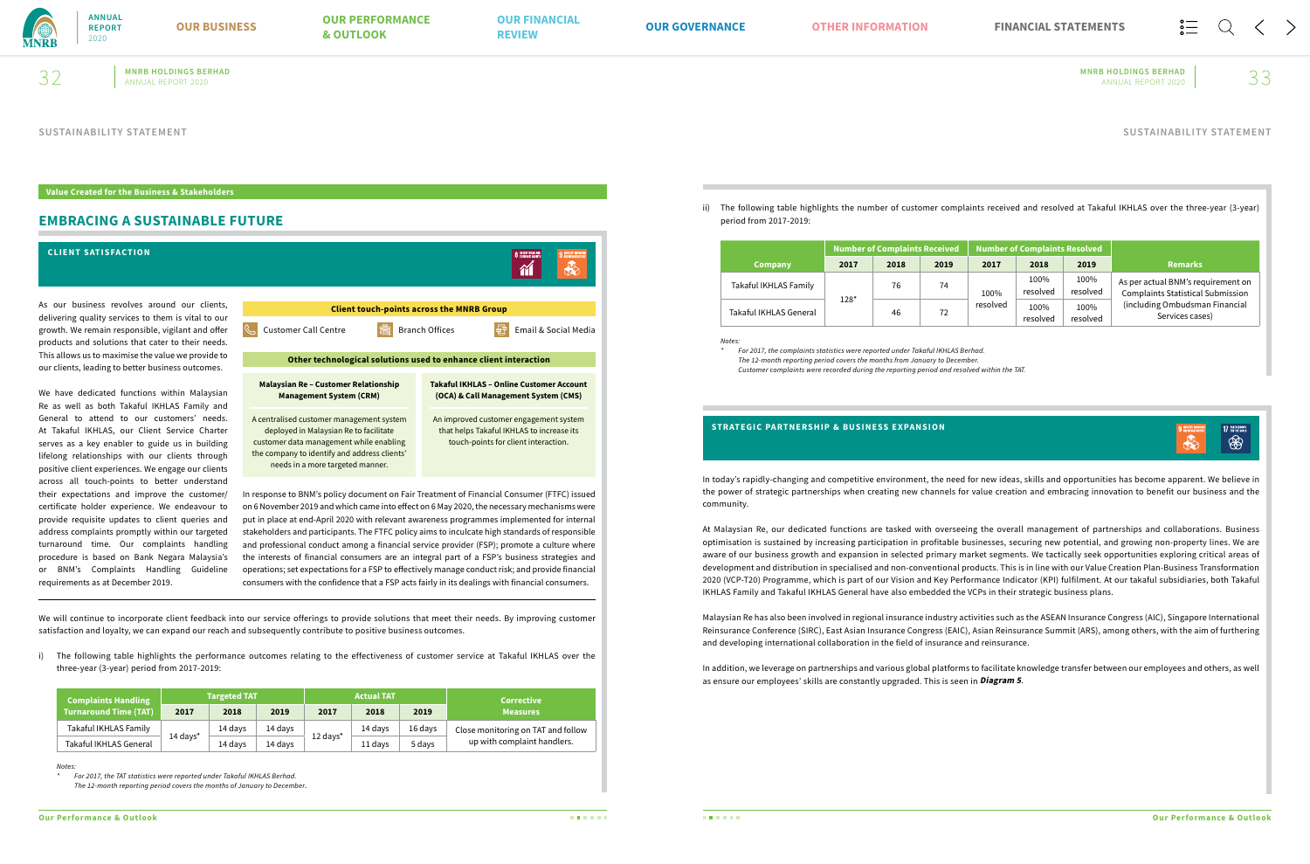

# **MNRB HOLDINGS BERHAD MNRB HOLDINGS BERHAD**  $32$  MNRB HOLDINGS BERHAD MNRB HOLDINGS BERHAD ANNUAL REPORT 2020  $\sim$  33

# **EMBRACING A SUSTAINABLE FUTURE**

**Value Created for the Business & Stakeholders**

We will continue to incorporate client feedback into our service offerings to provide solutions that meet their needs. By improving customer satisfaction and loyalty, we can expand our reach and subsequently contribute to positive business outcomes.

i) The following table highlights the performance outcomes relating to the effectiveness of customer service at Takaful IKHLAS over the three-year (3-year) period from 2017-2019:

| <b>Complaints Handling</b>   | <b>Targeted TAT</b>    |                    |         | <b>Actual TAT</b> |         |         | <b>Corrective</b>                  |
|------------------------------|------------------------|--------------------|---------|-------------------|---------|---------|------------------------------------|
| <b>Turnaround Time (TAT)</b> | 2017                   | 2018               | 2019    | 2017              | 2018    | 2019    | <b>Measures</b>                    |
| Takaful IKHLAS Family        |                        | 14 days<br>14 davs |         |                   | 14 days | 16 days | Close monitoring on TAT and follow |
| Takaful IKHLAS General       | $14$ days <sup>*</sup> | 14 davs            | 14 days | 12 days*          | 11 davs | 5 days  | up with complaint handlers.        |

*Notes:*

*\* For 2017, the TAT statistics were reported under Takaful IKHLAS Berhad. The 12-month reporting period covers the months of January to December.*



### ii) The following table highlights the number of customer complaints received and resolved at Takaful IKHLAS over the three-year (3-year)



period from 2017-2019:

|                        | <b>Number of Complaints Received</b> |      |      | Number of Complaints Resolved |                  |                  |                                                                                |
|------------------------|--------------------------------------|------|------|-------------------------------|------------------|------------------|--------------------------------------------------------------------------------|
| <b>Company</b>         | 2017                                 | 2018 | 2019 | 2017                          | 2018             | 2019             | <b>Remarks</b>                                                                 |
| Takaful IKHLAS Family  |                                      | 76   | 74   | 100%                          | 100%<br>resolved | 100%<br>resolved | As per actual BNM's requirement on<br><b>Complaints Statistical Submission</b> |
| Takaful IKHLAS General | $128*$                               | 46   | 72   | resolved                      | 100%<br>resolved | 100%<br>resolved | (including Ombudsman Financial<br>Services cases)                              |

*Notes:*

*\* For 2017, the complaints statistics were reported under Takaful IKHLAS Berhad. The 12-month reporting period covers the months from January to December. Customer complaints were recorded during the reporting period and resolved within the TAT.*

In today's rapidly-changing and competitive environment, the need for new ideas, skills and opportunities has become apparent. We believe in the power of strategic partnerships when creating new channels for value creation and embracing innovation to benefit our business and the community.

At Malaysian Re, our dedicated functions are tasked with overseeing the overall management of partnerships and collaborations. Business optimisation is sustained by increasing participation in profitable businesses, securing new potential, and growing non-property lines. We are aware of our business growth and expansion in selected primary market segments. We tactically seek opportunities exploring critical areas of development and distribution in specialised and non-conventional products. This is in line with our Value Creation Plan-Business Transformation 2020 (VCP-T20) Programme, which is part of our Vision and Key Performance Indicator (KPI) fulfilment. At our takaful subsidiaries, both Takaful IKHLAS Family and Takaful IKHLAS General have also embedded the VCPs in their strategic business plans.

Malaysian Re has also been involved in regional insurance industry activities such as the ASEAN Insurance Congress (AIC), Singapore International Reinsurance Conference (SIRC), East Asian Insurance Congress (EAIC), Asian Reinsurance Summit (ARS), among others, with the aim of furthering and developing international collaboration in the field of insurance and reinsurance.

In addition, we leverage on partnerships and various global platforms to facilitate knowledge transfer between our employees and others, as well as ensure our employees' skills are constantly upgraded. This is seen in **Diagram 5**.

### **STRATEGIC PARTNERSHIP & BUSINESS EXPANSION**

# **SUSTAINABILITY STATEMENT SUSTAINABILITY STATEMENT**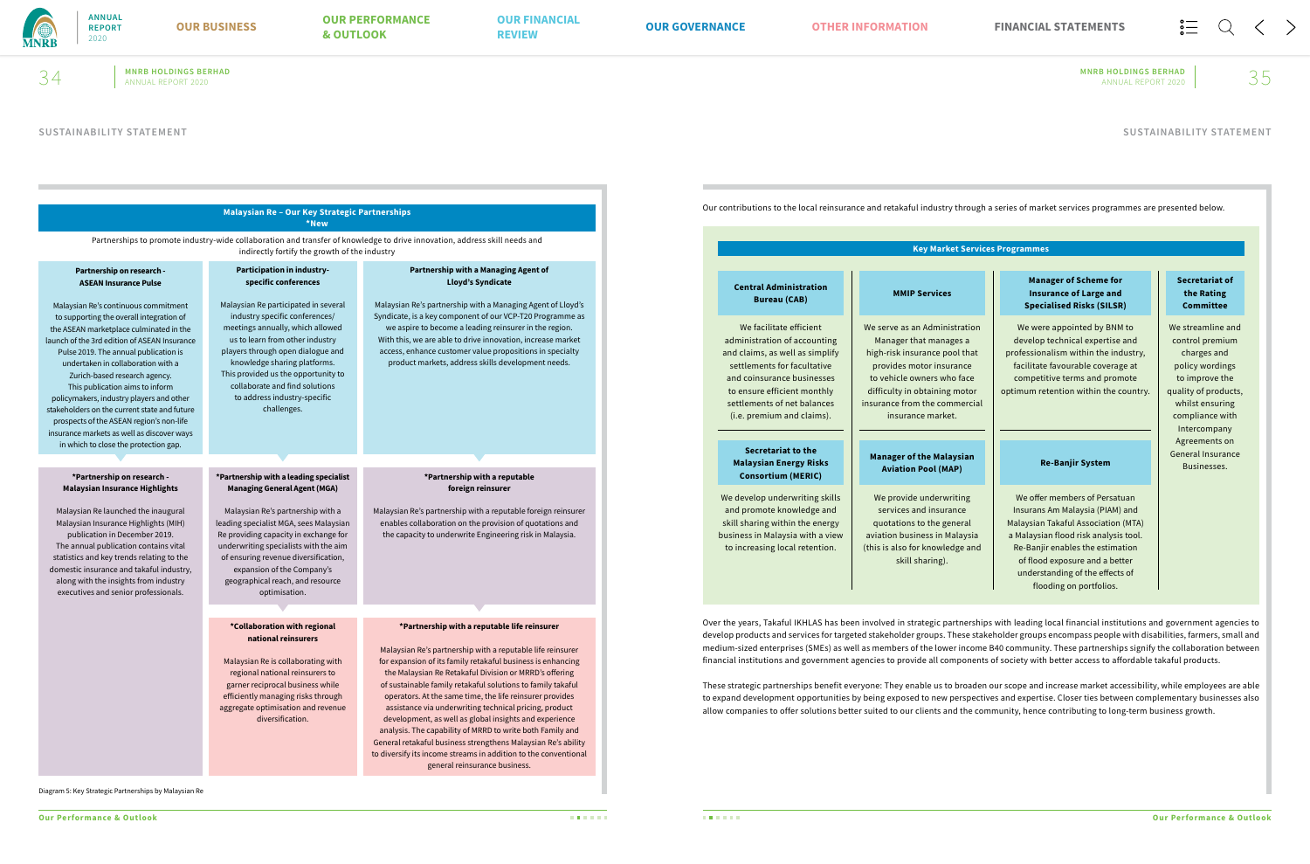

**MNRB HOLDINGS BERHAD MNRB HOLDINGS BERHAD**  $34$  MNRB HOLDINGS BERHAD MNRB HOLDINGS BERHAD ANNUAL REPORT 2020  $\sim 35$ 

Diagram 5: Key Strategic Partnerships by Malaysian Re

|                                                                                                                                                                                                                                                                                                                                                                                                                                                                                                                                                               | Malaysian Re - Our Key Strategic Partnerships<br>*New                                                                                                                                                                                                                                                                                      |                                                                                                                                                                                                                                                                                                                                                                                                                                                                                                                                                                                                                  | Our contributions to the local reinsurance and retaka                                                                                                                                                                                                                                                                                                                                                  |                                                                                                              |
|---------------------------------------------------------------------------------------------------------------------------------------------------------------------------------------------------------------------------------------------------------------------------------------------------------------------------------------------------------------------------------------------------------------------------------------------------------------------------------------------------------------------------------------------------------------|--------------------------------------------------------------------------------------------------------------------------------------------------------------------------------------------------------------------------------------------------------------------------------------------------------------------------------------------|------------------------------------------------------------------------------------------------------------------------------------------------------------------------------------------------------------------------------------------------------------------------------------------------------------------------------------------------------------------------------------------------------------------------------------------------------------------------------------------------------------------------------------------------------------------------------------------------------------------|--------------------------------------------------------------------------------------------------------------------------------------------------------------------------------------------------------------------------------------------------------------------------------------------------------------------------------------------------------------------------------------------------------|--------------------------------------------------------------------------------------------------------------|
|                                                                                                                                                                                                                                                                                                                                                                                                                                                                                                                                                               | indirectly fortify the growth of the industry                                                                                                                                                                                                                                                                                              | Partnerships to promote industry-wide collaboration and transfer of knowledge to drive innovation, address skill needs and                                                                                                                                                                                                                                                                                                                                                                                                                                                                                       |                                                                                                                                                                                                                                                                                                                                                                                                        |                                                                                                              |
| Partnership on research -<br><b>ASEAN Insurance Pulse</b>                                                                                                                                                                                                                                                                                                                                                                                                                                                                                                     | Participation in industry-<br>specific conferences                                                                                                                                                                                                                                                                                         | Partnership with a Managing Agent of<br>Lloyd's Syndicate                                                                                                                                                                                                                                                                                                                                                                                                                                                                                                                                                        | <b>Central Administration</b><br><b>Bureau (CAB)</b>                                                                                                                                                                                                                                                                                                                                                   | <b>MMI</b>                                                                                                   |
| Malaysian Re's continuous commitment<br>to supporting the overall integration of<br>the ASEAN marketplace culminated in the<br>launch of the 3rd edition of ASEAN Insurance<br>Pulse 2019. The annual publication is<br>undertaken in collaboration with a<br>Zurich-based research agency.<br>This publication aims to inform<br>policymakers, industry players and other<br>stakeholders on the current state and future<br>prospects of the ASEAN region's non-life<br>insurance markets as well as discover ways<br>in which to close the protection gap. | Malaysian Re participated in several<br>industry specific conferences/<br>meetings annually, which allowed<br>us to learn from other industry<br>players through open dialogue and<br>knowledge sharing platforms.<br>This provided us the opportunity to<br>collaborate and find solutions<br>to address industry-specific<br>challenges. | Malaysian Re's partnership with a Managing Agent of Lloyd's<br>Syndicate, is a key component of our VCP-T20 Programme as<br>we aspire to become a leading reinsurer in the region.<br>With this, we are able to drive innovation, increase market<br>access, enhance customer value propositions in specialty<br>product markets, address skills development needs.                                                                                                                                                                                                                                              | We facilitate efficient<br>administration of accounting<br>and claims, as well as simplify<br>settlements for facultative<br>and coinsurance businesses<br>to ensure efficient monthly<br>settlements of net balances<br>(i.e. premium and claims).                                                                                                                                                    | We serve as<br>Manager<br>high-risk in<br>provides<br>to vehicle<br>difficulty in<br>insurance fre<br>insura |
| *Partnership on research -                                                                                                                                                                                                                                                                                                                                                                                                                                                                                                                                    | *Partnership with a leading specialist                                                                                                                                                                                                                                                                                                     | *Partnership with a reputable                                                                                                                                                                                                                                                                                                                                                                                                                                                                                                                                                                                    | Secretariat to the<br><b>Malaysian Energy Risks</b><br><b>Consortium (MERIC)</b>                                                                                                                                                                                                                                                                                                                       | <b>Manager</b><br>Aviatic                                                                                    |
| <b>Malaysian Insurance Highlights</b><br>Malaysian Re launched the inaugural<br>Malaysian Insurance Highlights (MIH)<br>publication in December 2019.<br>The annual publication contains vital<br>statistics and key trends relating to the<br>domestic insurance and takaful industry,<br>along with the insights from industry<br>executives and senior professionals.                                                                                                                                                                                      | <b>Managing General Agent (MGA)</b><br>Malaysian Re's partnership with a<br>leading specialist MGA, sees Malaysian<br>Re providing capacity in exchange for<br>underwriting specialists with the aim<br>of ensuring revenue diversification,<br>expansion of the Company's<br>geographical reach, and resource<br>optimisation.            | foreign reinsurer<br>Malaysian Re's partnership with a reputable foreign reinsurer<br>enables collaboration on the provision of quotations and<br>the capacity to underwrite Engineering risk in Malaysia.                                                                                                                                                                                                                                                                                                                                                                                                       | We develop underwriting skills<br>and promote knowledge and<br>skill sharing within the energy<br>business in Malaysia with a view<br>to increasing local retention.                                                                                                                                                                                                                                   | We provi<br>services<br>quotation<br>aviation bu<br>(this is also<br>skil                                    |
|                                                                                                                                                                                                                                                                                                                                                                                                                                                                                                                                                               | *Collaboration with regional<br>national reinsurers<br>Malaysian Re is collaborating with<br>regional national reinsurers to<br>garner reciprocal business while<br>efficiently managing risks through<br>aggregate optimisation and revenue<br>diversification.                                                                           | *Partnership with a reputable life reinsurer<br>Malaysian Re's partnership with a reputable life reinsurer<br>for expansion of its family retakaful business is enhancing<br>the Malaysian Re Retakaful Division or MRRD's offering<br>of sustainable family retakaful solutions to family takaful<br>operators. At the same time, the life reinsurer provides<br>assistance via underwriting technical pricing, product<br>development, as well as global insights and experience<br>analysis. The capability of MRRD to write both Family and<br>General retakaful business strengthens Malaysian Re's ability | Over the years, Takaful IKHLAS has been involved in :<br>develop products and services for targeted stakeholde<br>medium-sized enterprises (SMEs) as well as members<br>financial institutions and government agencies to pro<br>These strategic partnerships benefit everyone: They e<br>to expand development opportunities by being expos<br>allow companies to offer solutions better suited to ou |                                                                                                              |

## **of the Malaysian Aviation Pool (MAP)**

ide underwriting and insurance ns to the general usiness in Malaysia for knowledge and ll sharing).

# **Key Market Services Programmes**

# **P** Services

an Administration that manages a nsurance pool that motor insurance owners who face n obtaining motor om the commercial ance market.

We streamline and control premium charges and policy wordings to improve the quality of products, whilst ensuring compliance with Intercompany Agreements on General Insurance Businesses.

strategic partnerships with leading local financial institutions and government agencies to er groups. These stakeholder groups encompass people with disabilities, farmers, small and s of the lower income B40 community. These partnerships signify the collaboration between ovide all components of society with better access to affordable takaful products.

enable us to broaden our scope and increase market accessibility, while employees are able sed to new perspectives and expertise. Closer ties between complementary businesses also ar clients and the community, hence contributing to long-term business growth.

### **Secretariat of the Rating Committee**

We were appointed by BNM to develop technical expertise and professionalism within the industry, facilitate favourable coverage at competitive terms and promote optimum retention within the country.

### **Manager of Scheme for Insurance of Large and Specialised Risks (SILSR)**

### **Re-Banjir System**

We offer members of Persatuan Insurans Am Malaysia (PIAM) and Malaysian Takaful Association (MTA) a Malaysian flood risk analysis tool. Re-Banjir enables the estimation of flood exposure and a better understanding of the effects of flooding on portfolios.

**SUSTAINABILITY STATEMENT SUSTAINABILITY STATEMENT**

### ful industry through a series of market services programmes are presented below.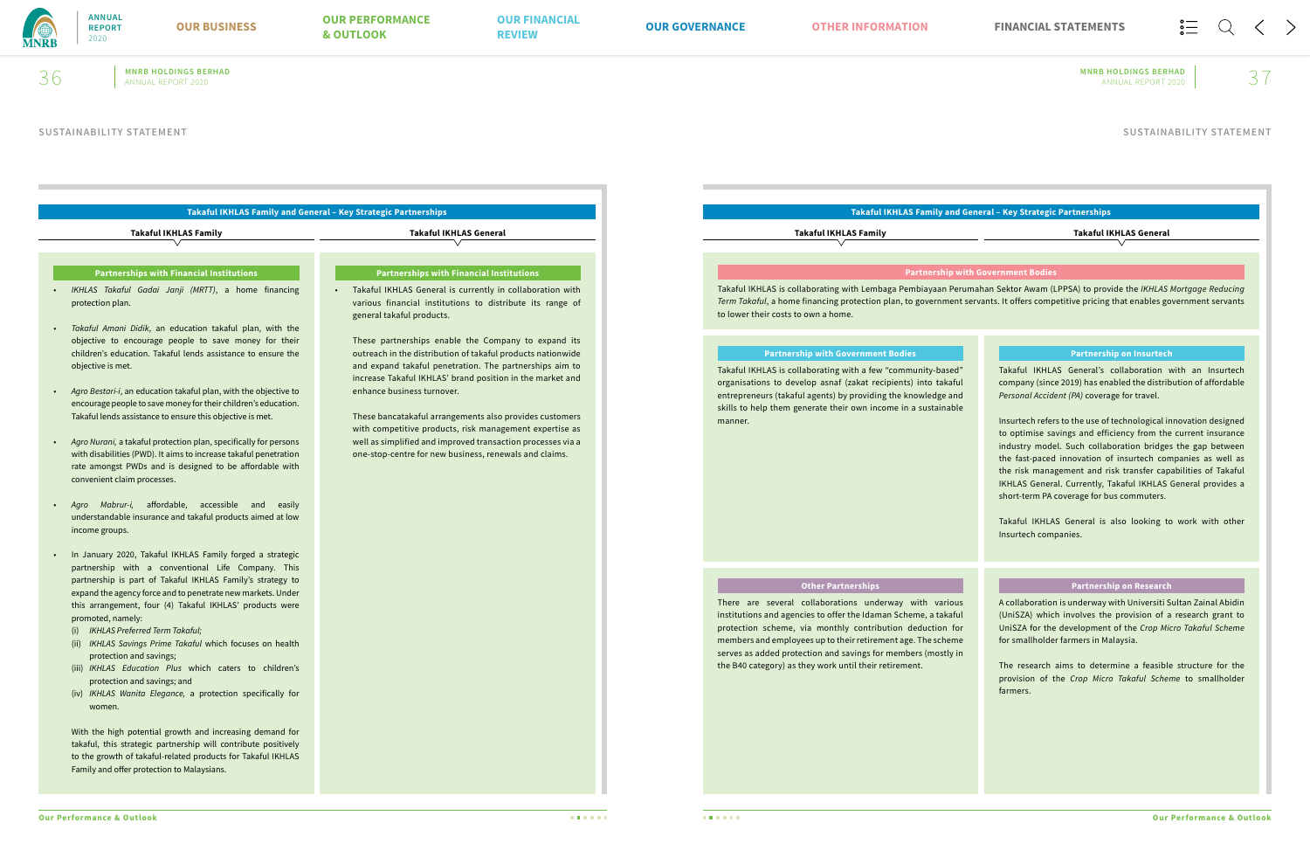

**MNRB HOLDINGS BERHAD MNRB HOLDINGS BERHAD**  $36$  MNRB HOLDINGS BERHAD MNRB HOLDINGS BERHAD ANNUAL REPORT 2020  $\sim$  37

# **Takaful IKHLAS Family and General – Key Strategic Partnerships**

- *IKHLAS Takaful Gadai Janji (MRTT)*, a home financing protection plan.
- *Takaful Amani Didik*, an education takaful plan, with the objective to encourage people to save money for their children's education. Takaful lends assistance to ensure the objective is met.
- *Agro Bestari-i*, an education takaful plan, with the objective to encourage people to save money for their children's education. Takaful lends assistance to ensure this objective is met.
- *Agro Nurani,* a takaful protection plan, specifically for persons with disabilities (PWD). It aims to increase takaful penetration rate amongst PWDs and is designed to be affordable with convenient claim processes.
- *Agro Mabrur-i,* affordable, accessible and easily understandable insurance and takaful products aimed at low income groups.
- In January 2020, Takaful IKHLAS Family forged a strategic partnership with a conventional Life Company. This partnership is part of Takaful IKHLAS Family's strategy to expand the agency force and to penetrate new markets. Under this arrangement, four (4) Takaful IKHLAS' products were promoted, namely:
	- (i) *IKHLAS Preferred Term Takaful;*
	- (ii) *IKHLAS Savings Prime Takaful* which focuses on health protection and savings;
	- (iii) *IKHLAS Education Plus* which caters to children's protection and savings; and
	- (iv) *IKHLAS Wanita Elegance,* a protection specifically for women.

With the high potential growth and increasing demand for takaful, this strategic partnership will contribute positively to the growth of takaful-related products for Takaful IKHLAS Family and offer protection to Malaysians.

### **Partnerships with Financial Institutions**

• Takaful IKHLAS General is currently in collaboration with various financial institutions to distribute its range of general takaful products.

These partnerships enable the Company to expand its outreach in the distribution of takaful products nationwide and expand takaful penetration. The partnerships aim to increase Takaful IKHLAS' brand position in the market and enhance business turnover.

These bancatakaful arrangements also provides customers with competitive products, risk management expertise as well as simplified and improved transaction processes via a one-stop-centre for new business, renewals and claims.

### **Partnerships with Financial Institutions**

**Takaful IKHLAS Family Takaful IKHLAS General**

# **Takaful IKHLAS Family and General – Key Strategic Partnerships**

Takaful IKHLAS is collaborating with Lembaga Pembiayaan Perumahan Sektor Awam (LPPSA) to provide the *IKHLAS Mortgage Reducing Term Takaful*, a home financing protection plan, to government servants. It offers competitive pricing that enables government servants to lower their costs to own a home.

### **Partnership with Government Bodies**

Takaful IKHLAS is collaborating with a few "community-based" organisations to develop asnaf (zakat recipients) into takaful entrepreneurs (takaful agents) by providing the knowledge and skills to help them generate their own income in a sustainable manner.

### **Partnership with Government Bodies**

Takaful IKHLAS General's collaboration with an Insurtech company (since 2019) has enabled the distribution of affordable *Personal Accident (PA)* coverage for travel.

Insurtech refers to the use of technological innovation designed to optimise savings and efficiency from the current insurance industry model. Such collaboration bridges the gap between the fast-paced innovation of insurtech companies as well as the risk management and risk transfer capabilities of Takaful IKHLAS General. Currently, Takaful IKHLAS General provides a short-term PA coverage for bus commuters.

Takaful IKHLAS General is also looking to work with other Insurtech companies.

### **Partnership on Insurtech**

There are several collaborations underway with various institutions and agencies to offer the Idaman Scheme, a takaful protection scheme, via monthly contribution deduction for members and employees up to their retirement age. The scheme serves as added protection and savings for members (mostly in the B40 category) as they work until their retirement.

# **Other Partnerships**

A collaboration is underway with Universiti Sultan Zainal Abidin (UniSZA) which involves the provision of a research grant to UniSZA for the development of the *Crop Micro Takaful Scheme* for smallholder farmers in Malaysia.

The research aims to determine a feasible structure for the provision of the *Crop Micro Takaful Scheme* to smallholder farmers.

### **Partnership on Research**

**Takaful IKHLAS Family Takaful IKHLAS General**

**SUSTAINABILITY STATEMENT SUSTAINABILITY STATEMENT**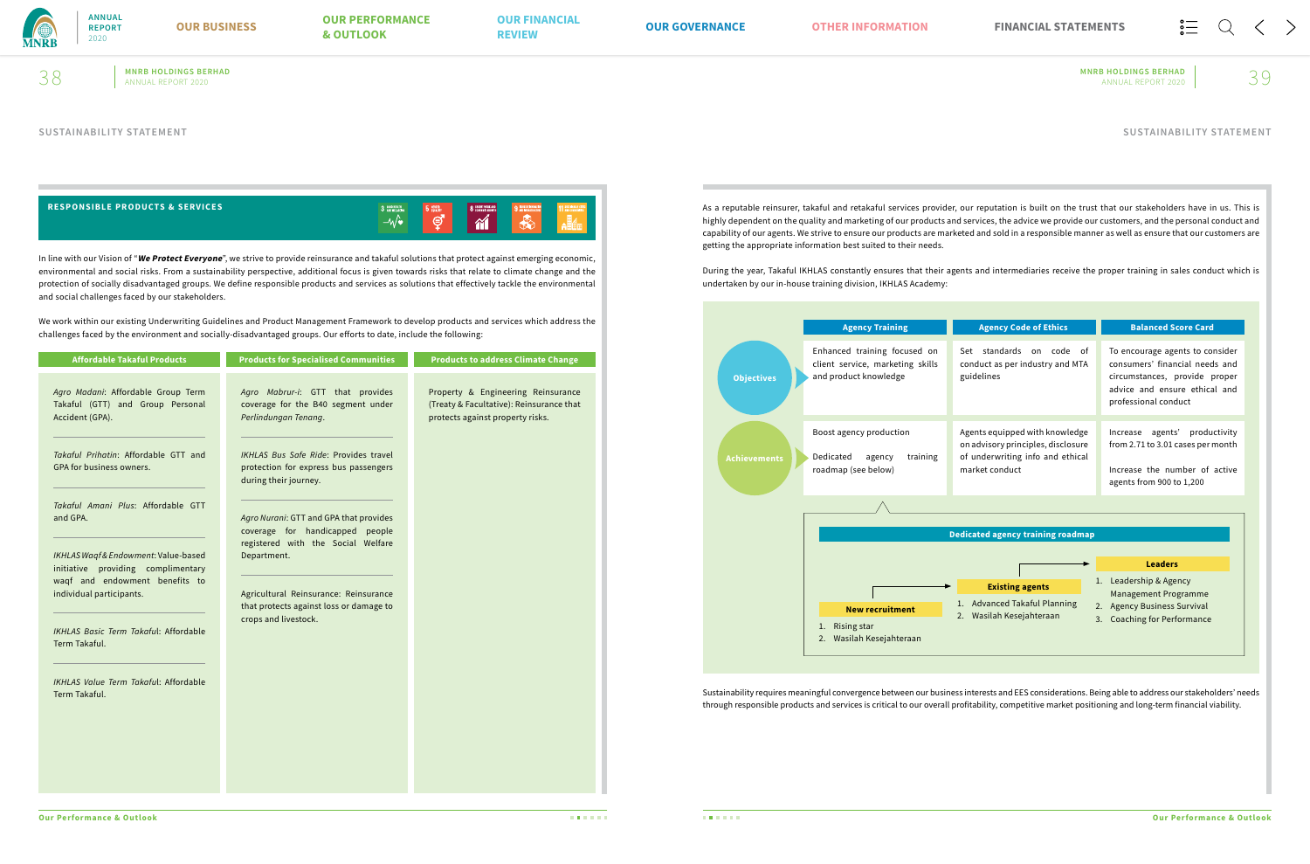

**MNRB HOLDINGS BERHAD MNRB HOLDINGS BERHAD**  $38$  MNRB HOLDINGS BERHAD MNRB HOLDINGS BERHAD ANNUAL REPORT 2020  $\sim 39$ 

In line with our Vision of "**We Protect Everyone**", we strive to provide reinsurance and takaful solutions that protect against emerging economic, environmental and social risks. From a sustainability perspective, additional focus is given towards risks that relate to climate change and the protection of socially disadvantaged groups. We define responsible products and services as solutions that effectively tackle the environmental and social challenges faced by our stakeholders.

We work within our existing Underwriting Guidelines and Product Management Framework to develop products and services which address the challenges faced by the environment and socially-disadvantaged groups. Our efforts to date, include the following:

As a reputable reinsurer, takaful and retakaful services provider, our reputation is built on the trust that our stakeholders have in us. This is highly dependent on the quality and marketing of our products and services, the advice we provide our customers, and the personal conduct and capability of our agents. We strive to ensure our products are marketed and sold in a responsible manner as well as ensure that our customers are getting the appropriate information best suited to their needs.

| <b>Affordable Takaful Products</b>                                                                                                       | <b>Products for Specialised Communities</b>                                                             | <b>Products to address Climate Change</b>                                                                          |
|------------------------------------------------------------------------------------------------------------------------------------------|---------------------------------------------------------------------------------------------------------|--------------------------------------------------------------------------------------------------------------------|
| Agro Madani: Affordable Group Term<br>Takaful (GTT) and Group Personal<br>Accident (GPA).                                                | Agro Mabrur-i: GTT that provides<br>coverage for the B40 segment under<br>Perlindungan Tenang.          | Property & Engineering Reinsurance<br>(Treaty & Facultative): Reinsurance that<br>protects against property risks. |
| Takaful Prihatin: Affordable GTT and<br><b>GPA for business owners.</b>                                                                  | IKHLAS Bus Safe Ride: Provides travel<br>protection for express bus passengers<br>during their journey. |                                                                                                                    |
| Takaful Amani Plus: Affordable GTT<br>and GPA.                                                                                           | Agro Nurani: GTT and GPA that provides<br>coverage for handicapped people                               |                                                                                                                    |
| IKHLAS Waqf & Endowment: Value-based<br>initiative providing complimentary<br>waqf and endowment benefits to<br>individual participants. | registered with the Social Welfare<br>Department.<br>Agricultural Reinsurance: Reinsurance              |                                                                                                                    |
| <b>IKHLAS Basic Term Takaful: Affordable</b><br>Term Takaful.                                                                            | that protects against loss or damage to<br>crops and livestock.                                         |                                                                                                                    |
| <b>IKHLAS Value Term Takaful: Affordable</b><br>Term Takaful.                                                                            |                                                                                                         |                                                                                                                    |
|                                                                                                                                          |                                                                                                         |                                                                                                                    |
|                                                                                                                                          |                                                                                                         |                                                                                                                    |

During the year, Takaful IKHLAS constantly ensures that their agents and intermediaries receive the proper training in sales conduct which is undertaken by our in-house training division, IKHLAS Academy:

Sustainability requires meaningful convergence between our business interests and EES considerations. Being able to address our stakeholders' needs through responsible products and services is critical to our overall profitability, competitive market positioning and long-term financial viability.



| <b>Agency Code of Ethics</b>                                                                                               | <b>Balanced Score Card</b>                                                                                                                                  |
|----------------------------------------------------------------------------------------------------------------------------|-------------------------------------------------------------------------------------------------------------------------------------------------------------|
| Set standards on code of<br>conduct as per industry and MTA<br>guidelines                                                  | To encourage agents to consider<br>consumers' financial needs and<br>circumstances, provide proper<br>advice and ensure ethical and<br>professional conduct |
| Agents equipped with knowledge<br>on advisory principles, disclosure<br>of underwriting info and ethical<br>market conduct | agents' productivity<br>Increase<br>from 2.71 to 3.01 cases per month<br>Increase the number of active<br>agents from 900 to 1,200                          |

### **SUSTAINABILITY STATEMENT SUSTAINABILITY STATEMENT**

| <b>RESPONSIBLE PRODUCTS &amp; SERVICES</b> | 3 GOOD HEALTH<br>$ \mathsf{w}$ | GENDER<br><b>D</b> FOUNDLY<br>∽.<br>Å | <b>O DECENT WORK AND</b><br><b>O ECONOMIC GROWTH</b><br>W<br>88 L | <b>9 MOUSTRY</b> | $11 \text{ m}$ |
|--------------------------------------------|--------------------------------|---------------------------------------|-------------------------------------------------------------------|------------------|----------------|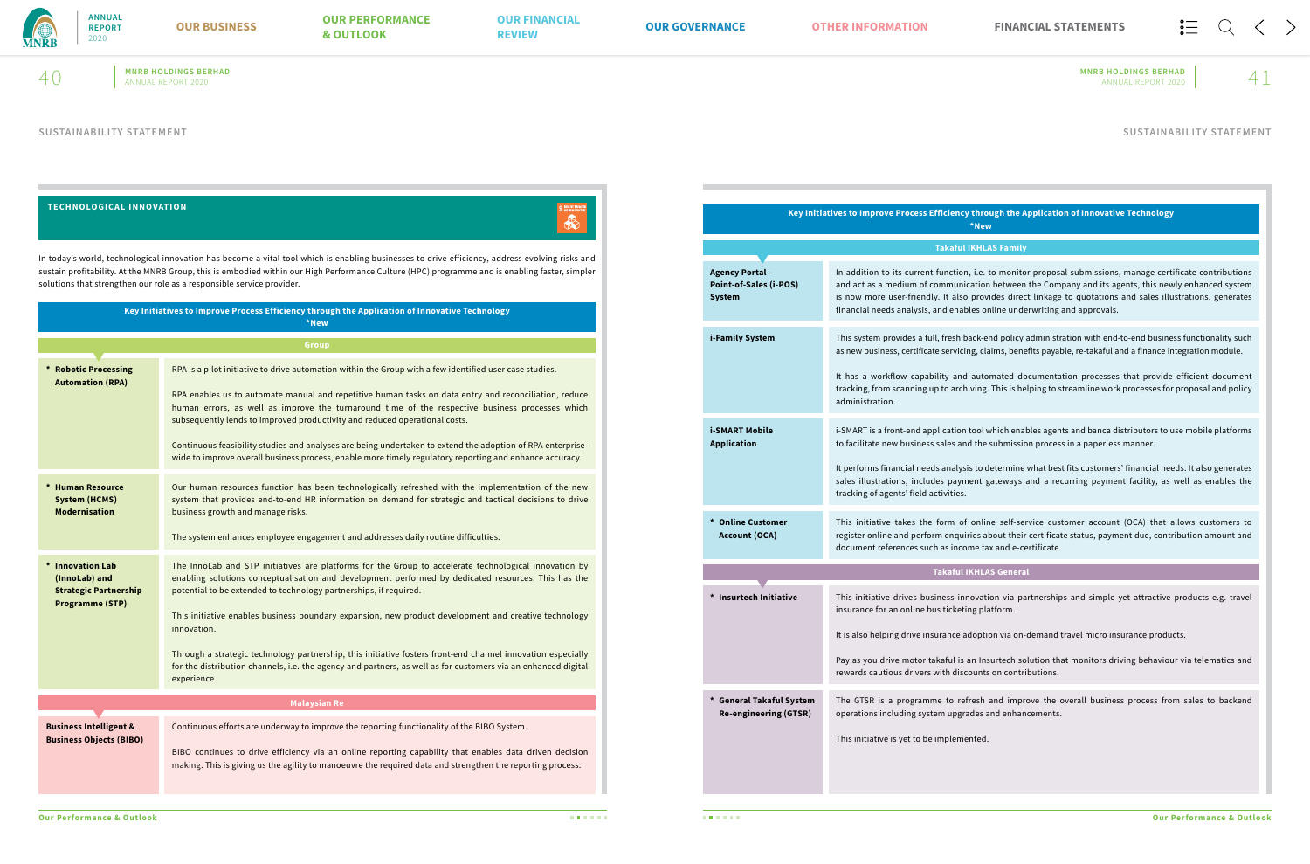

# **MNRB HOLDINGS BERHAD MNRB HOLDINGS BERHAD**  $40$  MNRB HOLDINGS BERHAD MNRB HOLDINGS BERHAD ANNUAL REPORT 2020  $41$

| <b>TECHNOLOGICAL INNOVATION</b>                                     |                                                                                                                                                                                                                                                                                                                                                                            |
|---------------------------------------------------------------------|----------------------------------------------------------------------------------------------------------------------------------------------------------------------------------------------------------------------------------------------------------------------------------------------------------------------------------------------------------------------------|
|                                                                     | In today's world, technological innovation has become a vital tool which is enabling businesses to drive efficiency, address evolving risks and<br>sustain profitability. At the MNRB Group, this is embodied within our High Performance Culture (HPC) programme and is enabling faster, simpler<br>solutions that strengthen our role as a responsible service provider. |
|                                                                     | Key Initiatives to Improve Process Efficiency through the Application of Innovative Technology<br>*New                                                                                                                                                                                                                                                                     |
|                                                                     | <b>Group</b>                                                                                                                                                                                                                                                                                                                                                               |
| * Robotic Processing<br><b>Automation (RPA)</b>                     | RPA is a pilot initiative to drive automation within the Group with a few identified user case studies.                                                                                                                                                                                                                                                                    |
|                                                                     | RPA enables us to automate manual and repetitive human tasks on data entry and reconciliation, reduce<br>human errors, as well as improve the turnaround time of the respective business processes which<br>subsequently lends to improved productivity and reduced operational costs.                                                                                     |
|                                                                     | Continuous feasibility studies and analyses are being undertaken to extend the adoption of RPA enterprise-<br>wide to improve overall business process, enable more timely regulatory reporting and enhance accuracy.                                                                                                                                                      |
| * Human Resource<br><b>System (HCMS)</b><br><b>Modernisation</b>    | Our human resources function has been technologically refreshed with the implementation of the new<br>system that provides end-to-end HR information on demand for strategic and tactical decisions to drive<br>business growth and manage risks.                                                                                                                          |
|                                                                     | The system enhances employee engagement and addresses daily routine difficulties.                                                                                                                                                                                                                                                                                          |
| * Innovation Lab<br>(InnoLab) and<br><b>Strategic Partnership</b>   | The InnoLab and STP initiatives are platforms for the Group to accelerate technological innovation by<br>enabling solutions conceptualisation and development performed by dedicated resources. This has the<br>potential to be extended to technology partnerships, if required.                                                                                          |
| <b>Programme (STP)</b>                                              | This initiative enables business boundary expansion, new product development and creative technology<br>innovation.                                                                                                                                                                                                                                                        |
|                                                                     | Through a strategic technology partnership, this initiative fosters front-end channel innovation especially<br>for the distribution channels, i.e. the agency and partners, as well as for customers via an enhanced digital<br>experience.                                                                                                                                |
|                                                                     | <b>Malaysian Re</b>                                                                                                                                                                                                                                                                                                                                                        |
| <b>Business Intelligent &amp;</b><br><b>Business Objects (BIBO)</b> | Continuous efforts are underway to improve the reporting functionality of the BIBO System.                                                                                                                                                                                                                                                                                 |
|                                                                     | BIBO continues to drive efficiency via an online reporting capability that enables data driven decision<br>making. This is giving us the agility to manoeuvre the required data and strengthen the reporting process.                                                                                                                                                      |

| <b>Key Initiatives to Improve Process Effici</b>                         |                                                                                                                                 |  |  |  |  |
|--------------------------------------------------------------------------|---------------------------------------------------------------------------------------------------------------------------------|--|--|--|--|
|                                                                          | <b>Tak</b>                                                                                                                      |  |  |  |  |
| <b>Agency Portal -</b><br><b>Point-of-Sales (i-POS)</b><br><b>System</b> | In addition to its current fun<br>and act as a medium of comn<br>is now more user-friendly. It<br>financial needs analysis, and |  |  |  |  |
| i-Family System                                                          | This system provides a full, fre<br>as new business, certificate se                                                             |  |  |  |  |
|                                                                          | It has a workflow capability<br>tracking, from scanning up to<br>administration.                                                |  |  |  |  |
| i-SMART Mobile<br><b>Application</b>                                     | i-SMART is a front-end applica<br>to facilitate new business sale                                                               |  |  |  |  |
|                                                                          | It performs financial needs an<br>sales illustrations, includes p<br>tracking of agents' field activi                           |  |  |  |  |
| * Online Customer<br><b>Account (OCA)</b>                                | This initiative takes the forr<br>register online and perform e<br>document references such as                                  |  |  |  |  |
|                                                                          | <b>Taka</b>                                                                                                                     |  |  |  |  |
| <b>Insurtech Initiative</b>                                              | This initiative drives busines<br>insurance for an online bus tio                                                               |  |  |  |  |
|                                                                          | It is also helping drive insurar                                                                                                |  |  |  |  |
|                                                                          | Pay as you drive motor takaft<br>rewards cautious drivers with                                                                  |  |  |  |  |
| <b>General Takaful System</b><br><b>Re-engineering (GTSR)</b>            | The GTSR is a programme to<br>operations including system u                                                                     |  |  |  |  |
|                                                                          | This initiative is yet to be imp                                                                                                |  |  |  |  |

### **Takaful IKHLAS General**

 $s$ s innovation via partnerships and simple yet attractive products e.g. travel icketing platform.

nce adoption via on-demand travel micro insurance products.

iul is an Insurtech solution that monitors driving behaviour via telematics and discounts on contributions.

to refresh and improve the overall business process from sales to backend upgrades and enhancements.

lemented.

### **Key Initiatives to Improve Process Efficiency through the Application of Innovative Technology \*New**

**ARAIL IKHLAS Family** 

In addition to its current function, i.e. to monitor i.e. to monitor proposes munication between the Company and its agents, this newly enhanced system also provides direct linkage to quotations and sales illustrations, generates enables online underwriting and approvals.

esh back-end policy administration with end-to-end business functionality such ervicing, claims, benefits payable, re-takaful and a finance integration module.

and automated documentation processes that provide efficient document archiving. This is helping to streamline work processes for proposal and policy

ation tool which enables agents and banca distributors to use mobile platforms es and the submission process in a paperless manner.

nalysis to determine what best fits customers' financial needs. It also generates payment gateways and a recurring payment facility, as well as enables the ities.

m of online self-service customer account (OCA) that allows customers to enquiries about their certificate status, payment due, contribution amount and income tax and e-certificate.

### **SUSTAINABILITY STATEMENT SUSTAINABILITY STATEMENT**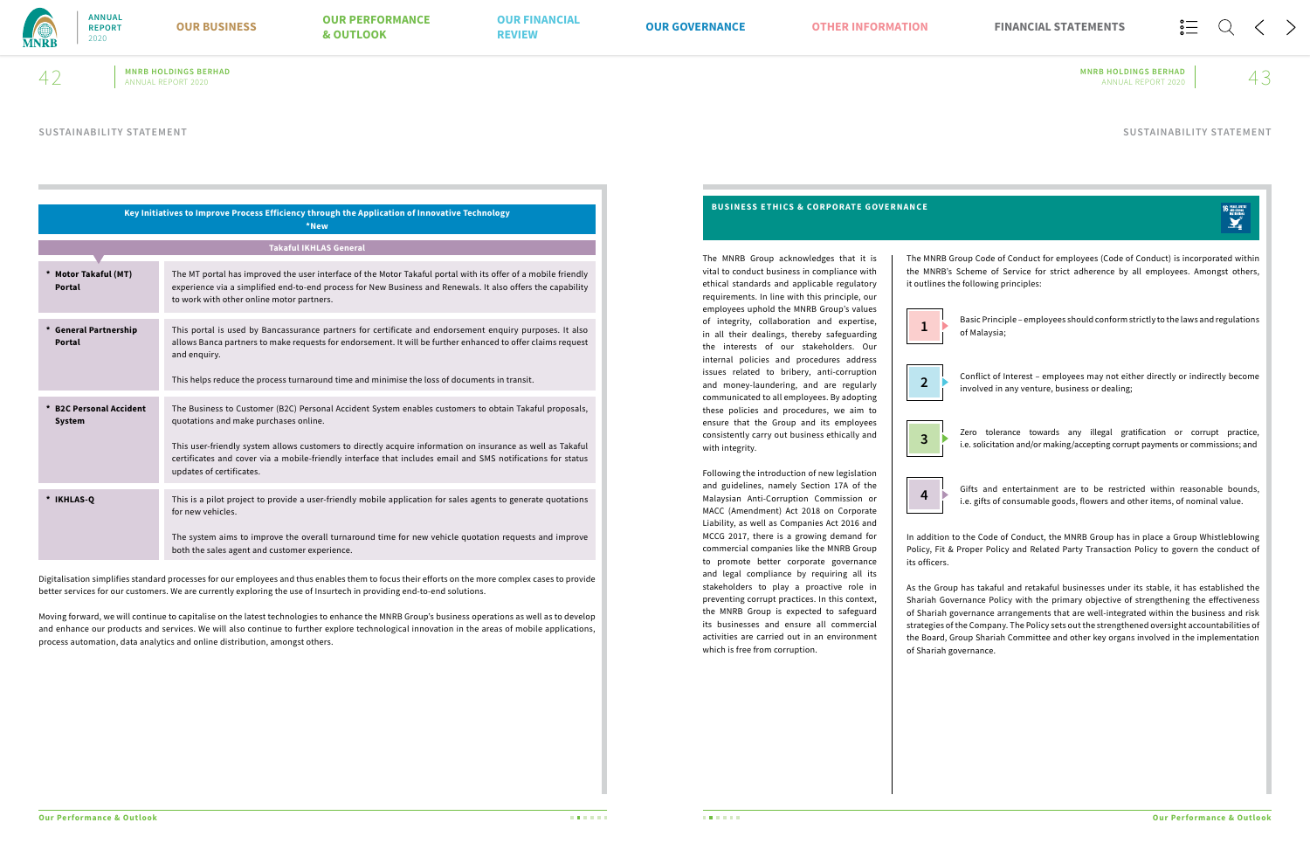

# **MNRB HOLDINGS BERHAD MNRB HOLDINGS BERHAD**  $42$  MNRB HOLDINGS BERHAD MNRB HOLDINGS BERHAD ANNUAL REPORT 2020  $43$

|                                       | Key Initiatives to Improve Process Efficiency through the Application of Innovative Technology<br>*New                                                                                                                                                                                                                                                                                                   |
|---------------------------------------|----------------------------------------------------------------------------------------------------------------------------------------------------------------------------------------------------------------------------------------------------------------------------------------------------------------------------------------------------------------------------------------------------------|
|                                       | <b>Takaful IKHLAS General</b>                                                                                                                                                                                                                                                                                                                                                                            |
| * Motor Takaful (MT)<br><b>Portal</b> | The MT portal has improved the user interface of the Motor Takaful portal with its offer of a mobile friendly<br>experience via a simplified end-to-end process for New Business and Renewals. It also offers the capability<br>to work with other online motor partners.                                                                                                                                |
| * General Partnership<br>Portal       | This portal is used by Bancassurance partners for certificate and endorsement enquiry purposes. It also<br>allows Banca partners to make requests for endorsement. It will be further enhanced to offer claims request<br>and enquiry.<br>This helps reduce the process turnaround time and minimise the loss of documents in transit.                                                                   |
| * B2C Personal Accident<br>System     | The Business to Customer (B2C) Personal Accident System enables customers to obtain Takaful proposals,<br>quotations and make purchases online.<br>This user-friendly system allows customers to directly acquire information on insurance as well as Takaful<br>certificates and cover via a mobile-friendly interface that includes email and SMS notifications for status<br>updates of certificates. |
| * IKHLAS-O                            | This is a pilot project to provide a user-friendly mobile application for sales agents to generate quotations<br>for new vehicles.<br>The system aims to improve the overall turnaround time for new vehicle quotation requests and improve<br>both the sales agent and customer experience.                                                                                                             |

Digitalisation simplifies standard processes for our employees and thus enables them to focus their efforts on the more complex cases to provide better services for our customers. We are currently exploring the use of Insurtech in providing end-to-end solutions.

Moving forward, we will continue to capitalise on the latest technologies to enhance the MNRB Group's business operations as well as to develop and enhance our products and services. We will also continue to further explore technological innovation in the areas of mobile applications, process automation, data analytics and online distribution, amongst others.

- Basic Principle employees should conform strictly to the laws and regulations of Malaysia; **1**
- Conflict of Interest employees may not either directly or indirectly become **2 b** conflict or interest – employees may not eith involved in any venture, business or dealing;
- Zero tolerance towards any illegal gratification or corrupt practice, **3 i.e.** solicitation and/or making/accepting corrupt payments or commissions; and **3**
- Gifts and entertainment are to be restricted within reasonable bounds, **4 i.e.** gifts of consumable goods, flowers and other items, of nominal value.

The MNRB Group acknowledges that it is vital to conduct business in compliance with ethical standards and applicable regulatory requirements. In line with this principle, our employees uphold the MNRB Group's values of integrity, collaboration and expertise, in all their dealings, thereby safeguarding the interests of our stakeholders. Our internal policies and procedures address issues related to bribery, anti-corruption and money-laundering, and are regularly communicated to all employees. By adopting these policies and procedures, we aim to ensure that the Group and its employees consistently carry out business ethically and with integrity.

Following the introduction of new legislation and guidelines, namely Section 17A of the Malaysian Anti-Corruption Commission or MACC (Amendment) Act 2018 on Corporate Liability, as well as Companies Act 2016 and MCCG 2017, there is a growing demand for commercial companies like the MNRB Group to promote better corporate governance and legal compliance by requiring all its stakeholders to play a proactive role in preventing corrupt practices. In this context, the MNRB Group is expected to safeguard its businesses and ensure all commercial activities are carried out in an environment which is free from corruption.





The MNRB Group Code of Conduct for employees (Code of Conduct) is incorporated within the MNRB's Scheme of Service for strict adherence by all employees. Amongst others, it outlines the following principles:

In addition to the Code of Conduct, the MNRB Group has in place a Group Whistleblowing Policy, Fit & Proper Policy and Related Party Transaction Policy to govern the conduct of

16 PEACE JUSTICE<br>
AND STRONG<br>
NSTITUTIONS

As the Group has takaful and retakaful businesses under its stable, it has established the Shariah Governance Policy with the primary objective of strengthening the effectiveness of Shariah governance arrangements that are well-integrated within the business and risk strategies of the Company. The Policy sets out the strengthened oversight accountabilities of the Board, Group Shariah Committee and other key organs involved in the implementation of Shariah governance.

# **BUSINESS ETHICS & CORPORATE GOVERNANCE**

# **SUSTAINABILITY STATEMENT SUSTAINABILITY STATEMENT**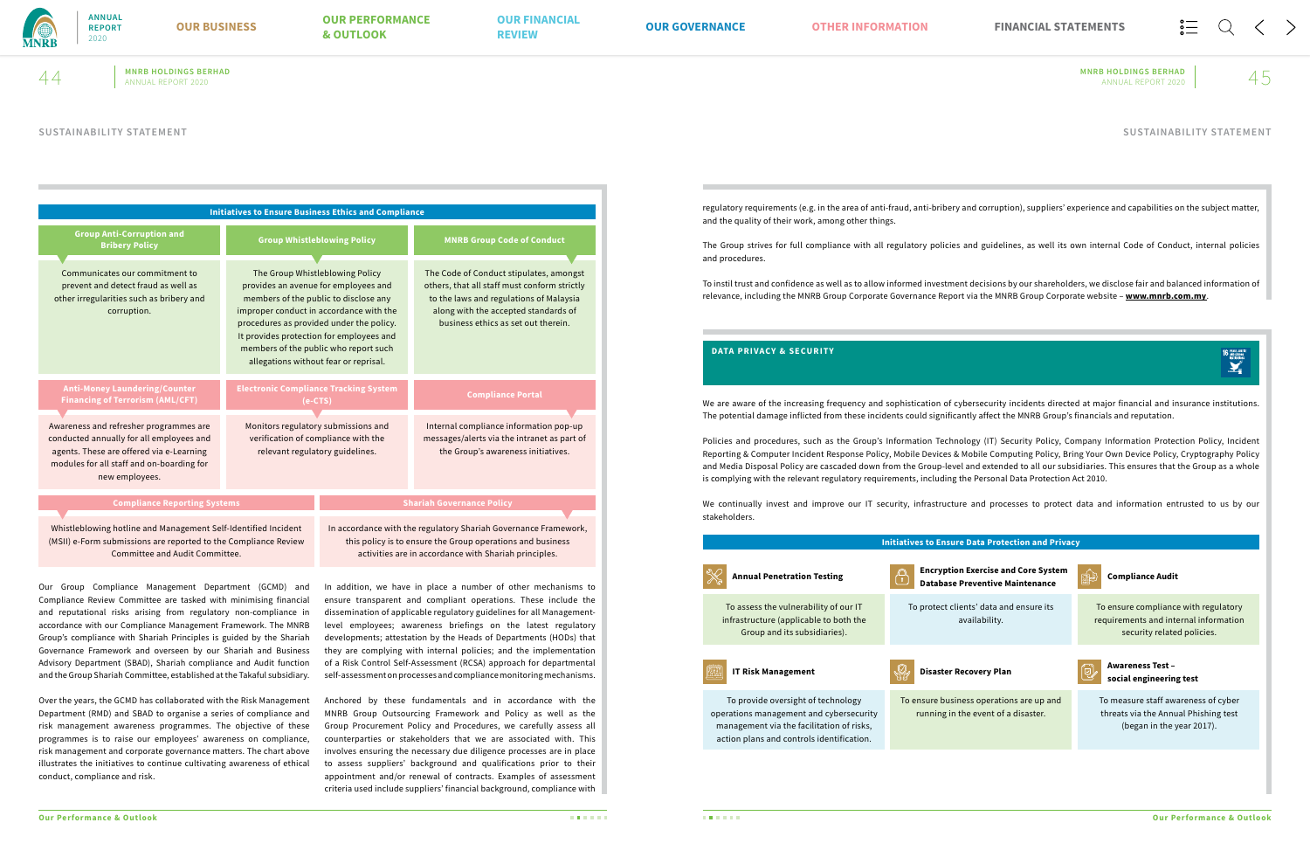

**MNRB HOLDINGS BERHAD MNRB HOLDINGS BERHAD**  $44 \,$  MNRB HOLDINGS BERHAD MNRB HOLDINGS BERHAD ANNUAL REPORT 2020  $45$ 

|                                                                                                                                                                                               | <b>Initiatives to Ensure Business Ethics and Compliance</b>                                                                                                                                                                                                                                                                           |                                    |                                                                                                                                                                                                                   |  |
|-----------------------------------------------------------------------------------------------------------------------------------------------------------------------------------------------|---------------------------------------------------------------------------------------------------------------------------------------------------------------------------------------------------------------------------------------------------------------------------------------------------------------------------------------|------------------------------------|-------------------------------------------------------------------------------------------------------------------------------------------------------------------------------------------------------------------|--|
| <b>Group Anti-Corruption and</b><br><b>Bribery Policy</b>                                                                                                                                     |                                                                                                                                                                                                                                                                                                                                       | <b>Group Whistleblowing Policy</b> | <b>MNRB Group Code of Conduct</b>                                                                                                                                                                                 |  |
| Communicates our commitment to<br>prevent and detect fraud as well as<br>other irregularities such as bribery and<br>corruption.                                                              | The Group Whistleblowing Policy<br>provides an avenue for employees and<br>members of the public to disclose any<br>improper conduct in accordance with the<br>procedures as provided under the policy.<br>It provides protection for employees and<br>members of the public who report such<br>allegations without fear or reprisal. |                                    | The Code of Conduct stipulates, amongst<br>others, that all staff must conform strictly<br>to the laws and regulations of Malaysia<br>along with the accepted standards of<br>business ethics as set out therein. |  |
| <b>Anti-Money Laundering/Counter</b><br><b>Financing of Terrorism (AML/CFT)</b>                                                                                                               | <b>Electronic Compliance Tracking System</b><br>(e-CTS)                                                                                                                                                                                                                                                                               |                                    | <b>Compliance Portal</b>                                                                                                                                                                                          |  |
| Awareness and refresher programmes are<br>conducted annually for all employees and<br>agents. These are offered via e-Learning<br>modules for all staff and on-boarding for<br>new employees. | Monitors regulatory submissions and<br>verification of compliance with the<br>relevant regulatory guidelines.                                                                                                                                                                                                                         |                                    | Internal compliance information pop-up<br>messages/alerts via the intranet as part of<br>the Group's awareness initiatives.                                                                                       |  |
| <b>Compliance Reporting Systems</b>                                                                                                                                                           |                                                                                                                                                                                                                                                                                                                                       |                                    | <b>Shariah Governance Policy</b>                                                                                                                                                                                  |  |
| Whistleblowing hotline and Management Self-Identified Incident<br>(MSII) e-Form submissions are reported to the Compliance Review                                                             |                                                                                                                                                                                                                                                                                                                                       |                                    | In accordance with the regulatory Shariah Governance Framework,<br>this policy is to ensure the Group operations and business                                                                                     |  |

activities are in accordance with Shariah principles.

Committee and Audit Committee.

In addition, we have in place a number of other mechanisms to ensure transparent and compliant operations. These include the dissemination of applicable regulatory guidelines for all Managementlevel employees; awareness briefings on the latest regulatory developments; attestation by the Heads of Departments (HODs) that they are complying with internal policies; and the implementation of a Risk Control Self-Assessment (RCSA) approach for departmental self-assessment on processes and compliance monitoring mechanisms.

Anchored by these fundamentals and in accordance with the MNRB Group Outsourcing Framework and Policy as well as the Group Procurement Policy and Procedures, we carefully assess all counterparties or stakeholders that we are associated with. This involves ensuring the necessary due diligence processes are in place to assess suppliers' background and qualifications prior to their appointment and/or renewal of contracts. Examples of assessment criteria used include suppliers' financial background, compliance with

Our Group Compliance Management Department (GCMD) and Compliance Review Committee are tasked with minimising financial and reputational risks arising from regulatory non-compliance in accordance with our Compliance Management Framework. The MNRB Group's compliance with Shariah Principles is guided by the Shariah Governance Framework and overseen by our Shariah and Business Advisory Department (SBAD), Shariah compliance and Audit function and the Group Shariah Committee, established at the Takaful subsidiary.

Over the years, the GCMD has collaborated with the Risk Management Department (RMD) and SBAD to organise a series of compliance and risk management awareness programmes. The objective of these programmes is to raise our employees' awareness on compliance, risk management and corporate governance matters. The chart above illustrates the initiatives to continue cultivating awareness of ethical conduct, compliance and risk.

regulatory requirements (e.g. in the area of anti-fraud, anti-bribery and corruption), suppliers' experience and capabilities on the subject matter, and the quality of their work, among other things.

The Group strives for full compliance with all regulatory policies and guidelines, as well its own internal Code of Conduct, internal policies and procedures.

To instil trust and confidence as well as to allow informed investment decisions by our shareholders, we disclose fair and balanced information of relevance, including the MNRB Group Corporate Governance Report via the MNRB Group Corporate website – **www.mnrb.com.my**.

We are aware of the increasing frequency and sophistication of cybersecurity incidents directed at major financial and insurance institutions. The potential damage inflicted from these incidents could significantly affect the MNRB Group's financials and reputation.

Policies and procedures, such as the Group's Information Technology (IT) Security Policy, Company Information Protection Policy, Incident Reporting & Computer Incident Response Policy, Mobile Devices & Mobile Computing Policy, Bring Your Own Device Policy, Cryptography Policy and Media Disposal Policy are cascaded down from the Group-level and extended to all our subsidiaries. This ensures that the Group as a whole is complying with the relevant regulatory requirements, including the Personal Data Protection Act 2010.

We continually invest and improve our IT security, infrastructure and processes to protect data and information entrusted to us by our stakeholders.

|                                                                                                                                                                         | <b>Initiatives to Ensu</b>         |
|-------------------------------------------------------------------------------------------------------------------------------------------------------------------------|------------------------------------|
| <b>Annual Penetration Testing</b>                                                                                                                                       | <b>Encrypti</b><br><b>Database</b> |
| To assess the vulnerability of our IT<br>infrastructure (applicable to both the<br>Group and its subsidiaries).                                                         | To protect c                       |
| <b>IT Risk Management</b>                                                                                                                                               | <b>Disaster</b>                    |
| To provide oversight of technology<br>operations management and cybersecurity<br>management via the facilitation of risks,<br>action plans and controls identification. | To ensure bus<br>running ir        |

16 PEACE JUSTICE



# **DATA PRIVACY & SECURITY**

# **SUSTAINABILITY STATEMENT SUSTAINABILITY STATEMENT**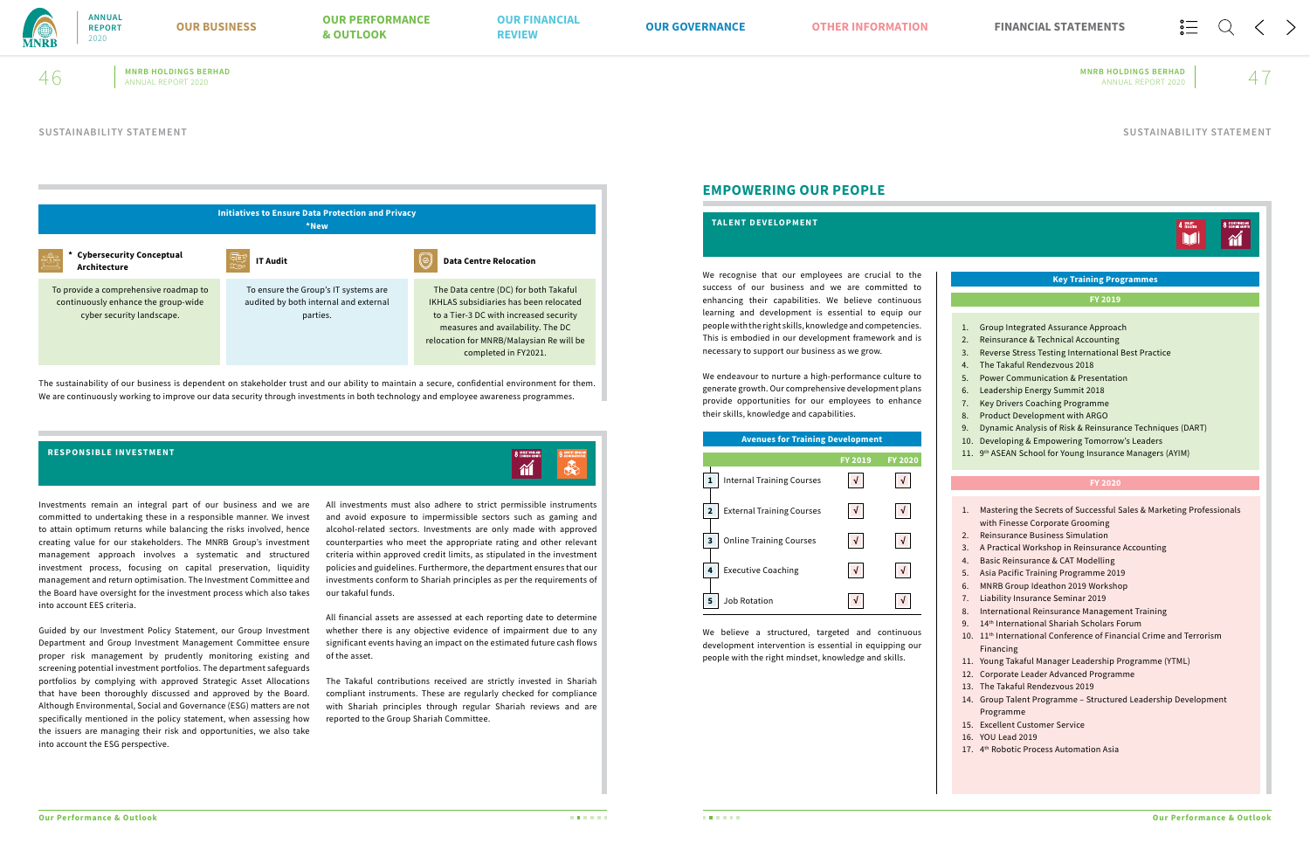

# **MNRB HOLDINGS BERHAD MNRB HOLDINGS BERHAD**  $46$  MNRB HOLDINGS BERHAD MNRB HOLDINGS BERHAD ANNUAL REPORT 2020  $47$

The sustainability of our business is dependent on stakeholder trust and our ability to maintain a secure, confidential environment for them. We are continuously working to improve our data security through investments in both technology and employee awareness programmes.



Investments remain an integral part of our business and we are committed to undertaking these in a responsible manner. We invest to attain optimum returns while balancing the risks involved, hence creating value for our stakeholders. The MNRB Group's investment management approach involves a systematic and structured investment process, focusing on capital preservation, liquidity management and return optimisation. The Investment Committee and the Board have oversight for the investment process which also takes into account EES criteria.

Guided by our Investment Policy Statement, our Group Investment Department and Group Investment Management Committee ensure proper risk management by prudently monitoring existing and screening potential investment portfolios. The department safeguards portfolios by complying with approved Strategic Asset Allocations that have been thoroughly discussed and approved by the Board. Although Environmental, Social and Governance (ESG) matters are not specifically mentioned in the policy statement, when assessing how the issuers are managing their risk and opportunities, we also take into account the ESG perspective.

All investments must also adhere to strict permissible instruments and avoid exposure to impermissible sectors such as gaming and alcohol-related sectors. Investments are only made with approved counterparties who meet the appropriate rating and other relevant criteria within approved credit limits, as stipulated in the investment policies and guidelines. Furthermore, the department ensures that our investments conform to Shariah principles as per the requirements of our takaful funds.

All financial assets are assessed at each reporting date to determine whether there is any objective evidence of impairment due to any significant events having an impact on the estimated future cash flows of the asset.

The Takaful contributions received are strictly invested in Shariah compliant instruments. These are regularly checked for compliance with Shariah principles through regular Shariah reviews and are reported to the Group Shariah Committee.

### **RESPONSIBLE INVESTMENT**

# **EMPOWERING OUR PEOPLE**

We recognise that our employees are crucial to the success of our business and we are committed to enhancing their capabilities. We believe continuous learning and development is essential to equip our people with the right skills, knowledge and competencies. This is embodied in our development framework and is necessary to support our business as we grow.

We endeavour to nurture a high-performance culture to generate growth. Our comprehensive development plans provide opportunities for our employees to enhance their skills, knowledge and capabilities.

|                                                                  | 4 QUALITY<br><b>O</b> DECENT WORK AT                                                                                                                                                                                                                                                                                                                                                                                                                                                                                                                                                                                                                                                                                                                                                                                                                    |
|------------------------------------------------------------------|---------------------------------------------------------------------------------------------------------------------------------------------------------------------------------------------------------------------------------------------------------------------------------------------------------------------------------------------------------------------------------------------------------------------------------------------------------------------------------------------------------------------------------------------------------------------------------------------------------------------------------------------------------------------------------------------------------------------------------------------------------------------------------------------------------------------------------------------------------|
|                                                                  |                                                                                                                                                                                                                                                                                                                                                                                                                                                                                                                                                                                                                                                                                                                                                                                                                                                         |
|                                                                  | <b>Key Training Programmes</b>                                                                                                                                                                                                                                                                                                                                                                                                                                                                                                                                                                                                                                                                                                                                                                                                                          |
|                                                                  | FY 2019                                                                                                                                                                                                                                                                                                                                                                                                                                                                                                                                                                                                                                                                                                                                                                                                                                                 |
| 1.<br>2.<br>3.<br>4.<br>5.<br>6.<br>7.<br>8.<br>9.<br>10.<br>11. | Group Integrated Assurance Approach<br>Reinsurance & Technical Accounting<br>Reverse Stress Testing International Best Practice<br>The Takaful Rendezvous 2018<br><b>Power Communication &amp; Presentation</b><br>Leadership Energy Summit 2018<br><b>Key Drivers Coaching Programme</b><br><b>Product Development with ARGO</b><br>Dynamic Analysis of Risk & Reinsurance Techniques (DART)<br>Developing & Empowering Tomorrow's Leaders<br>9th ASEAN School for Young Insurance Managers (AYIM)                                                                                                                                                                                                                                                                                                                                                     |
|                                                                  | <b>FY 2020</b>                                                                                                                                                                                                                                                                                                                                                                                                                                                                                                                                                                                                                                                                                                                                                                                                                                          |
|                                                                  |                                                                                                                                                                                                                                                                                                                                                                                                                                                                                                                                                                                                                                                                                                                                                                                                                                                         |
| 1.<br>2.<br>3.<br>4.<br>5.<br>6.<br>7.<br>8.<br>9.<br>10.        | Mastering the Secrets of Successful Sales & Marketing Professionals<br>with Finesse Corporate Grooming<br><b>Reinsurance Business Simulation</b><br>A Practical Workshop in Reinsurance Accounting<br><b>Basic Reinsurance &amp; CAT Modelling</b><br>Asia Pacific Training Programme 2019<br>MNRB Group Ideathon 2019 Workshop<br><b>Liability Insurance Seminar 2019</b><br><b>International Reinsurance Management Training</b><br>14th International Shariah Scholars Forum<br>11 <sup>th</sup> International Conference of Financial Crime and Terrorism<br>Financing<br>11. Young Takaful Manager Leadership Programme (YTML)<br>12. Corporate Leader Advanced Programme<br>13. The Takaful Rendezvous 2019<br>14. Group Talent Programme - Structured Leadership Development<br>Programme<br>15. Excellent Customer Service<br>16. YOU Lead 2019 |

### **TALENT DEVELOPMENT**



We believe a structured, targeted and continuous development intervention is essential in equipping our people with the right mindset, knowledge and skills.

### **SUSTAINABILITY STATEMENT SUSTAINABILITY STATEMENT**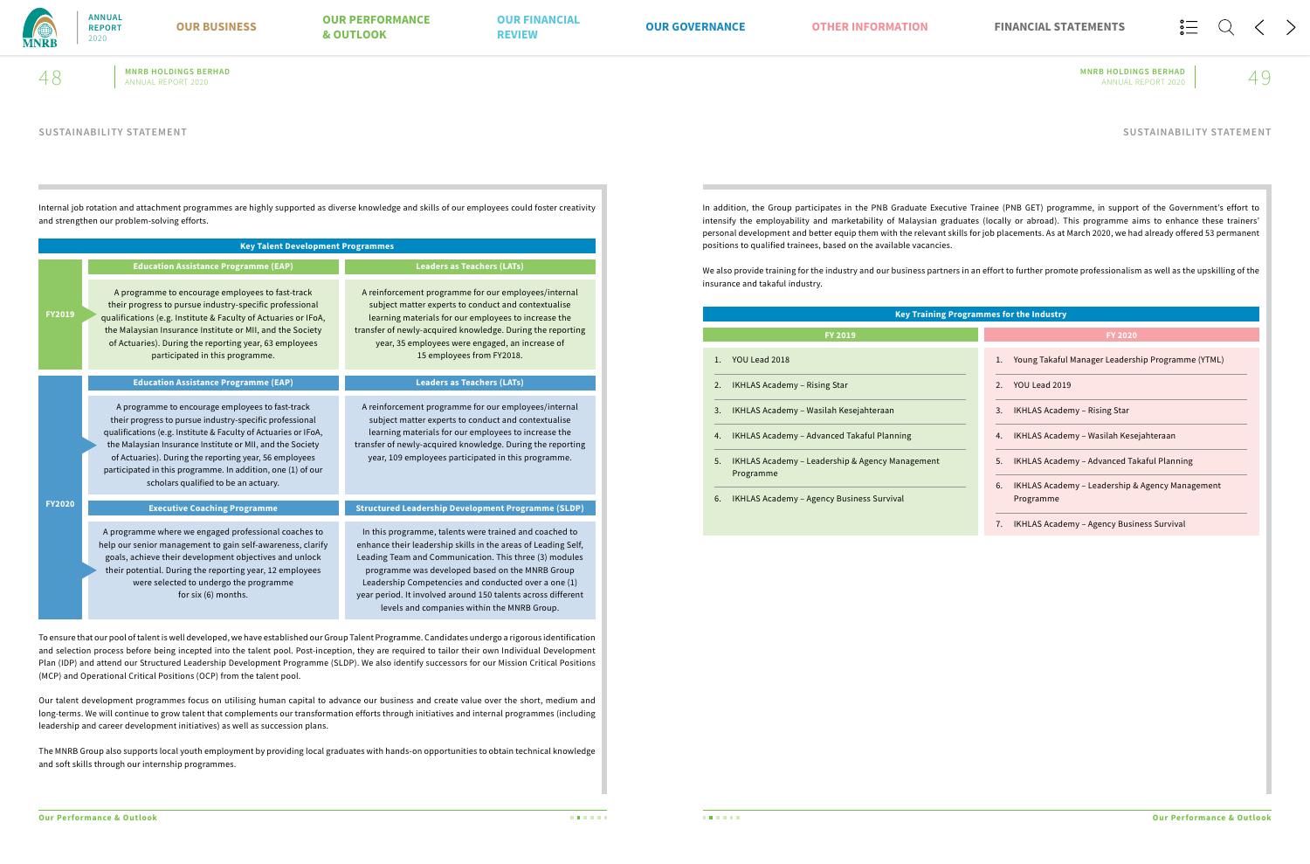

**MNRB HOLDINGS BERHAD MNRB HOLDINGS BERHAD**  $48$  MNRB HOLDINGS BERHAD MNRB HOLDINGS BERHAD ANNUAL REPORT 2020  $49$ 

Internal job rotation and attachment programmes are highly supported as diverse knowledge and skills of our employees could foster creativity and strengthen our problem-solving efforts.

| <b>Key Talent Development Programmes</b> |                                                                                                                                                                                                                                                                                                                                                                                                             |                                                                                                                                                                                                                                                                                                                                                                                                             |  |
|------------------------------------------|-------------------------------------------------------------------------------------------------------------------------------------------------------------------------------------------------------------------------------------------------------------------------------------------------------------------------------------------------------------------------------------------------------------|-------------------------------------------------------------------------------------------------------------------------------------------------------------------------------------------------------------------------------------------------------------------------------------------------------------------------------------------------------------------------------------------------------------|--|
|                                          | <b>Education Assistance Programme (EAP)</b>                                                                                                                                                                                                                                                                                                                                                                 | <b>Leaders as Teachers (LATs)</b>                                                                                                                                                                                                                                                                                                                                                                           |  |
| <b>FY2019</b>                            | A programme to encourage employees to fast-track<br>their progress to pursue industry-specific professional<br>qualifications (e.g. Institute & Faculty of Actuaries or IFoA,<br>the Malaysian Insurance Institute or MII, and the Society<br>of Actuaries). During the reporting year, 63 employees<br>participated in this programme.                                                                     | A reinforcement programme for our employees/internal<br>subject matter experts to conduct and contextualise<br>learning materials for our employees to increase the<br>transfer of newly-acquired knowledge. During the reporting<br>year, 35 employees were engaged, an increase of<br>15 employees from FY2018.                                                                                           |  |
|                                          | <b>Education Assistance Programme (EAP)</b>                                                                                                                                                                                                                                                                                                                                                                 | <b>Leaders as Teachers (LATs)</b>                                                                                                                                                                                                                                                                                                                                                                           |  |
|                                          | A programme to encourage employees to fast-track<br>their progress to pursue industry-specific professional<br>qualifications (e.g. Institute & Faculty of Actuaries or IFoA,<br>the Malaysian Insurance Institute or MII, and the Society<br>of Actuaries). During the reporting year, 56 employees<br>participated in this programme. In addition, one (1) of our<br>scholars qualified to be an actuary. | A reinforcement programme for our employees/internal<br>subject matter experts to conduct and contextualise<br>learning materials for our employees to increase the<br>transfer of newly-acquired knowledge. During the reporting<br>year, 109 employees participated in this programme.                                                                                                                    |  |
| <b>FY2020</b>                            | <b>Executive Coaching Programme</b>                                                                                                                                                                                                                                                                                                                                                                         | <b>Structured Leadership Development Programme (SLDP)</b>                                                                                                                                                                                                                                                                                                                                                   |  |
|                                          | A programme where we engaged professional coaches to<br>help our senior management to gain self-awareness, clarify<br>goals, achieve their development objectives and unlock<br>their potential. During the reporting year, 12 employees<br>were selected to undergo the programme<br>for six (6) months.                                                                                                   | In this programme, talents were trained and coached to<br>enhance their leadership skills in the areas of Leading Self,<br>Leading Team and Communication. This three (3) modules<br>programme was developed based on the MNRB Group<br>Leadership Competencies and conducted over a one (1)<br>year period. It involved around 150 talents across different<br>levels and companies within the MNRB Group. |  |

To ensure that our pool of talent is well developed, we have established our Group Talent Programme. Candidates undergo a rigorous identification and selection process before being incepted into the talent pool. Post-inception, they are required to tailor their own Individual Development Plan (IDP) and attend our Structured Leadership Development Programme (SLDP). We also identify successors for our Mission Critical Positions (MCP) and Operational Critical Positions (OCP) from the talent pool.

Our talent development programmes focus on utilising human capital to advance our business and create value over the short, medium and long-terms. We will continue to grow talent that complements our transformation efforts through initiatives and internal programmes (including leadership and career development initiatives) as well as succession plans.

The MNRB Group also supports local youth employment by providing local graduates with hands-on opportunities to obtain technical knowledge and soft skills through our internship programmes.

In addition, the Group participates in the PNB Graduate Executive Trainee (PNB GET) programme, in support of the Government's effort to intensify the employability and marketability of Malaysian graduates (locally or abroad). This programme aims to enhance these trainers' personal development and better equip them with the relevant skills for job placements. As at March 2020, we had already offered 53 permanent positions to qualified trainees, based on the available vacancies.

We also provide training for the industry and our business partners in an effort to further promote professionalism as well as the upskilling of the insurance and takaful industry.

| <b>Key Training Programmes for the Industry</b>                    |                                                                    |  |  |  |
|--------------------------------------------------------------------|--------------------------------------------------------------------|--|--|--|
| <b>FY 2019</b>                                                     | <b>FY 2020</b>                                                     |  |  |  |
| 1. YOU Lead 2018                                                   | Young Takaful Manager Leadership Programme (YTML)<br>1.            |  |  |  |
| 2.<br><b>IKHLAS Academy - Rising Star</b>                          | YOU Lead 2019<br>2.                                                |  |  |  |
| 3. IKHLAS Academy – Wasilah Kesejahteraan                          | <b>IKHLAS Academy - Rising Star</b><br>3.                          |  |  |  |
| IKHLAS Academy – Advanced Takaful Planning<br>4.                   | IKHLAS Academy – Wasilah Kesejahteraan<br>4.                       |  |  |  |
| 5.<br>IKHLAS Academy – Leadership & Agency Management<br>Programme | IKHLAS Academy - Advanced Takaful Planning<br>5.                   |  |  |  |
| 6.<br><b>IKHLAS Academy - Agency Business Survival</b>             | IKHLAS Academy – Leadership & Agency Management<br>6.<br>Programme |  |  |  |
|                                                                    | 7.<br><b>IKHLAS Academy - Agency Business Survival</b>             |  |  |  |

# **SUSTAINABILITY STATEMENT SUSTAINABILITY STATEMENT**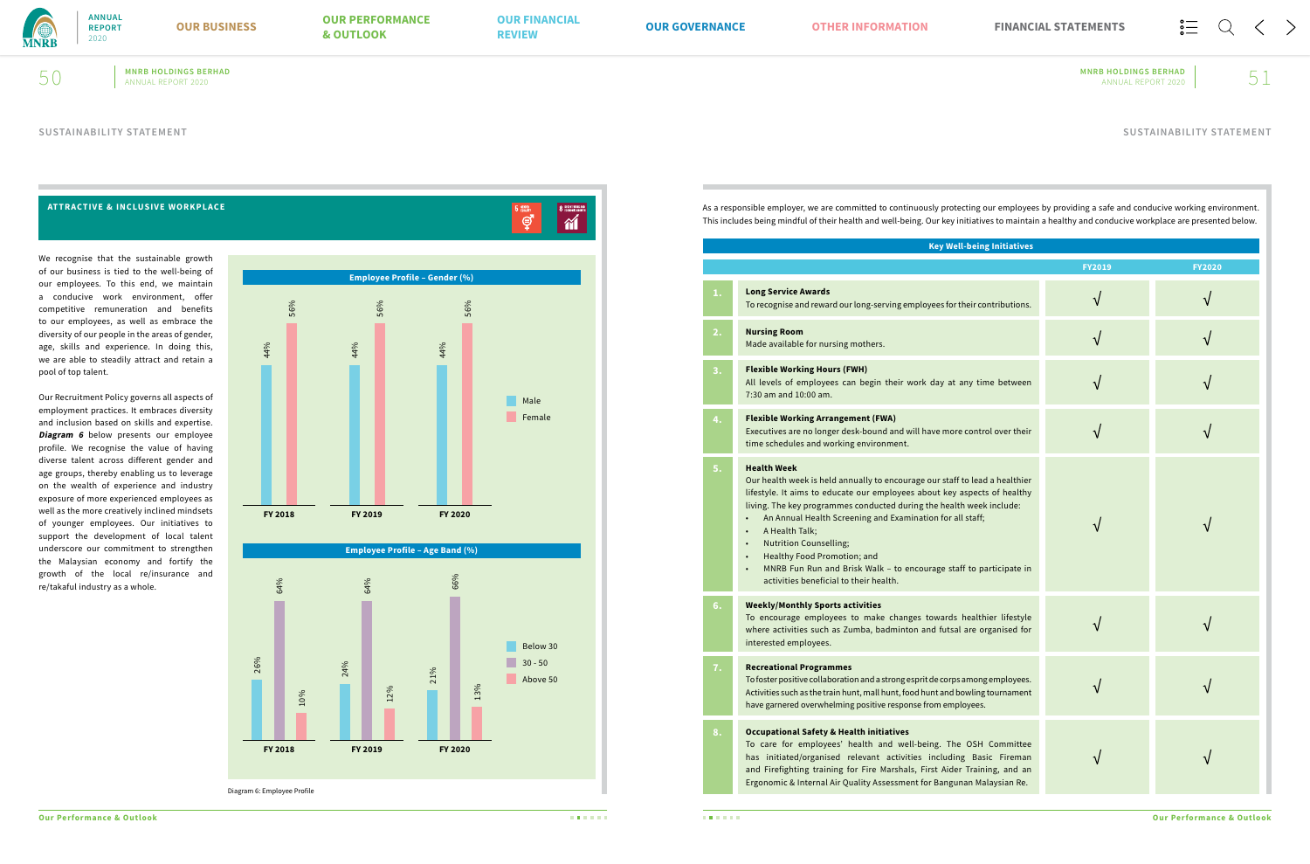

**MNRB HOLDINGS BERHAD MNRB HOLDINGS BERHAD**

We recognise that the sustainable growth of our business is tied to the well-being of our employees. To this end, we maintain a conducive work environment, offer competitive remuneration and benefits to our employees, as well as embrace the diversity of our people in the areas of gender, age, skills and experience. In doing this, we are able to steadily attract and retain a pool of top talent.

Our Recruitment Policy governs all aspects of employment practices. It embraces diversity and inclusion based on skills and expertise. **Diagram 6** below presents our employee profile. We recognise the value of having diverse talent across different gender and age groups, thereby enabling us to leverage on the wealth of experience and industry exposure of more experienced employees as well as the more creatively inclined mindsets of younger employees. Our initiatives to support the development of local talent underscore our commitment to strengthen the Malaysian economy and fortify the growth of the local re/insurance and re/takaful industry as a whole.





### **ATTRACTIVE & INCLUSIVE WORKPLACE**

As a responsible employer, we are committed to continuously protecting our employees by providing a safe and conducive working environment. This includes being mindful of their health and well-being. Our key initiatives to maintain a healthy and conducive workplace are presented below.

| <b>Key Well-being Initiatives</b>                                                                                                           |               |               |  |
|---------------------------------------------------------------------------------------------------------------------------------------------|---------------|---------------|--|
|                                                                                                                                             | <b>FY2019</b> | <b>FY2020</b> |  |
| yees for their contributions.                                                                                                               |               |               |  |
|                                                                                                                                             | $\sqrt{}$     |               |  |
| day at any time between                                                                                                                     |               |               |  |
| ave more control over their                                                                                                                 | √             |               |  |
| our staff to lead a healthier<br>out key aspects of healthy<br>he health week include:<br>on for all staff;<br>rage staff to participate in | $\sqrt{}$     |               |  |
| owards healthier lifestyle<br>nd futsal are organised for                                                                                   |               |               |  |
| de corps among employees.<br>int and bowling tournament<br>om employees.                                                                    |               |               |  |
| ing. The OSH Committee<br>including Basic Fireman<br>rst Aider Training, and an<br>r Bangunan Malaysian Re.                                 |               |               |  |

|                  | <b>Key Well-being Initiatives</b>                                                                                                                                                                                                                                                                                                                                                                                                                                                                                    |
|------------------|----------------------------------------------------------------------------------------------------------------------------------------------------------------------------------------------------------------------------------------------------------------------------------------------------------------------------------------------------------------------------------------------------------------------------------------------------------------------------------------------------------------------|
|                  |                                                                                                                                                                                                                                                                                                                                                                                                                                                                                                                      |
| 1.               | <b>Long Service Awards</b><br>To recognise and reward our long-serving employees for their contributions.                                                                                                                                                                                                                                                                                                                                                                                                            |
| 2.               | <b>Nursing Room</b><br>Made available for nursing mothers.                                                                                                                                                                                                                                                                                                                                                                                                                                                           |
| $\overline{3}$ . | <b>Flexible Working Hours (FWH)</b><br>All levels of employees can begin their work day at any time between<br>7:30 am and 10:00 am.                                                                                                                                                                                                                                                                                                                                                                                 |
| 4.               | <b>Flexible Working Arrangement (FWA)</b><br>Executives are no longer desk-bound and will have more control over their<br>time schedules and working environment.                                                                                                                                                                                                                                                                                                                                                    |
| 5.               | <b>Health Week</b><br>Our health week is held annually to encourage our staff to lead a healthier<br>lifestyle. It aims to educate our employees about key aspects of healthy<br>living. The key programmes conducted during the health week include:<br>An Annual Health Screening and Examination for all staff;<br>A Health Talk;<br><b>Nutrition Counselling;</b><br>Healthy Food Promotion; and<br>MNRB Fun Run and Brisk Walk - to encourage staff to participate in<br>activities beneficial to their health. |
| 6.               | <b>Weekly/Monthly Sports activities</b><br>To encourage employees to make changes towards healthier lifestyle<br>where activities such as Zumba, badminton and futsal are organised for<br>interested employees.                                                                                                                                                                                                                                                                                                     |
| 7.               | <b>Recreational Programmes</b><br>To foster positive collaboration and a strong esprit de corps among employees.<br>Activities such as the train hunt, mall hunt, food hunt and bowling tournament<br>have garnered overwhelming positive response from employees.                                                                                                                                                                                                                                                   |
| 8.               | <b>Occupational Safety &amp; Health initiatives</b><br>To care for employees' health and well-being. The OSH Committee<br>has initiated/organised relevant activities including Basic Fireman<br>and Firefighting training for Fire Marshals, First Aider Training, and an<br>Ergonomic & Internal Air Quality Assessment for Bangunan Malaysian Re.                                                                                                                                                                 |

8 DECENT WORK AN

 $\overline{5}$   $\overline{\mathbb{Q}}$ 

### **SUSTAINABILITY STATEMENT SUSTAINABILITY STATEMENT**

**ANNUAL REPORT** 2020

 $50$  MNRB HOLDINGS BERHAD MNRB HOLDINGS BERHAD ANNUAL REPORT 2020  $51$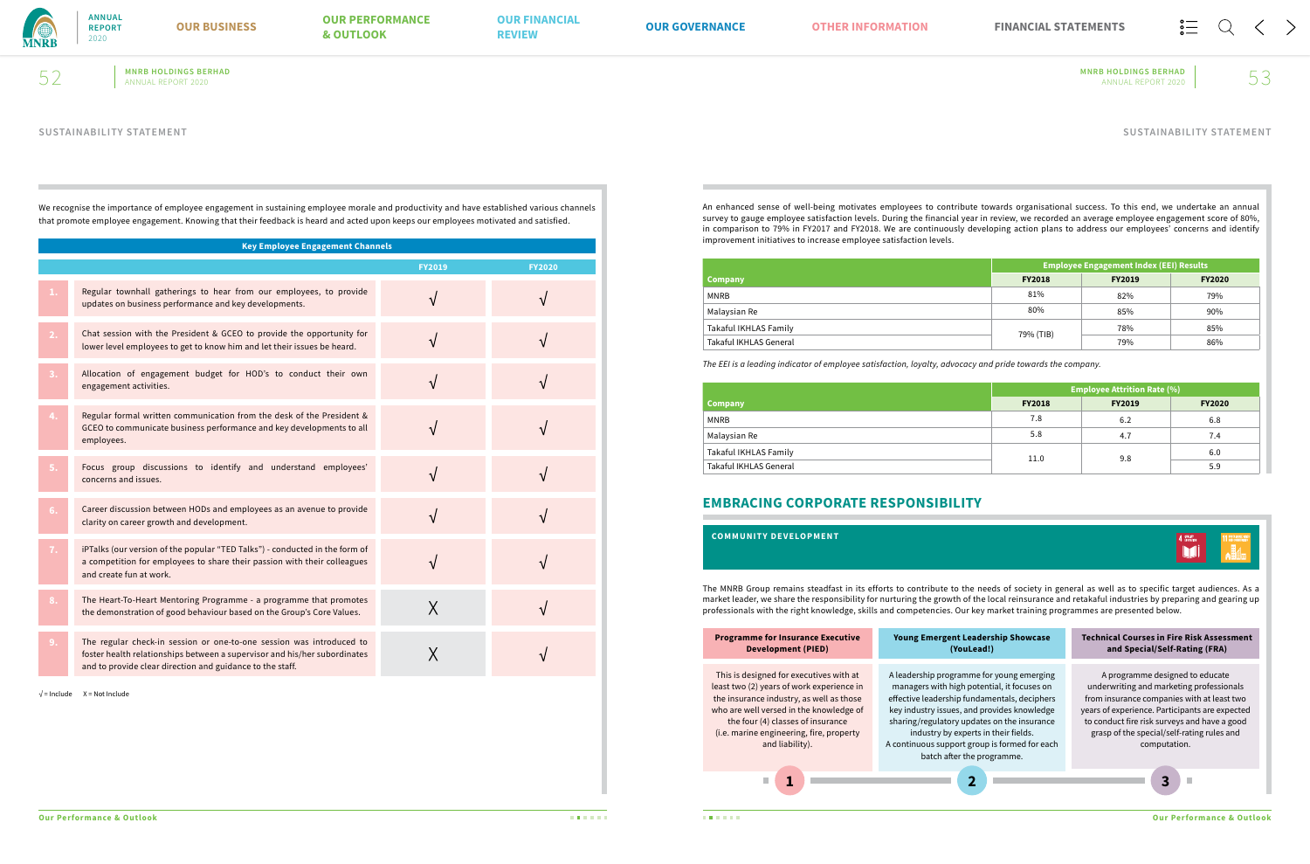

# **MNRB HOLDINGS BERHAD MNRB HOLDINGS BERHAD**  $52$  MNRB HOLDINGS BERHAD MNRB HOLDINGS BERHAD ANNUAL REPORT 2020  $53$

We recognise the importance of employee engagement in sustaining employee morale and productivity and have established various channels that promote employee engagement. Knowing that their feedback is heard and acted upon keeps our employees motivated and satisfied.

An enhanced sense of well-being motivates employees to contribute towards organisational success. To this end, we undertake an annual survey to gauge employee satisfaction levels. During the financial year in review, we recorded an average employee engagement score of 80%, in comparison to 79% in FY2017 and FY2018. We are continuously developing action plans to address our employees' concerns and identify improvement initiatives to increase employee satisfaction levels.

|                        | <b>Employee Engagement Index (EEI) Results</b> |               |               |
|------------------------|------------------------------------------------|---------------|---------------|
| <b>Company</b>         | <b>FY2018</b>                                  | <b>FY2019</b> | <b>FY2020</b> |
| <b>MNRB</b>            | 81%                                            | 82%           | 79%           |
| Malaysian Re           | 80%                                            | 85%           | 90%           |
| Takaful IKHLAS Family  | 79% (TIB)                                      | 78%           | 85%           |
| Takaful IKHLAS General |                                                | 79%           | 86%           |

*The EEI is a leading indicator of employee satisfaction, loyalty, advocacy and pride towards the company.*

|                        | <b>Employee Attrition Rate (%)</b> |               |               |
|------------------------|------------------------------------|---------------|---------------|
| <b>Company</b>         | <b>FY2018</b>                      | <b>FY2019</b> | <b>FY2020</b> |
| MNRB                   | 7.8                                | 6.2           | 6.8           |
| Malaysian Re           | 5.8                                | 4.7           | 7.4           |
| Takaful IKHLAS Family  | 11.0                               | 9.8           | 6.0           |
| Takaful IKHLAS General |                                    |               | 5.9           |

| <b>Key Employee Engagement Channels</b> |                                                                                                                                                                                                                |               |               |
|-----------------------------------------|----------------------------------------------------------------------------------------------------------------------------------------------------------------------------------------------------------------|---------------|---------------|
|                                         |                                                                                                                                                                                                                | <b>FY2019</b> | <b>FY2020</b> |
|                                         | Regular townhall gatherings to hear from our employees, to provide<br>updates on business performance and key developments.                                                                                    |               |               |
| 2.                                      | Chat session with the President & GCEO to provide the opportunity for<br>lower level employees to get to know him and let their issues be heard.                                                               |               |               |
|                                         | Allocation of engagement budget for HOD's to conduct their own<br>engagement activities.                                                                                                                       |               |               |
|                                         | Regular formal written communication from the desk of the President &<br>GCEO to communicate business performance and key developments to all<br>employees.                                                    |               |               |
| 5.                                      | Focus group discussions to identify and understand employees'<br>concerns and issues.                                                                                                                          | $\sqrt{ }$    |               |
| 6.                                      | Career discussion between HODs and employees as an avenue to provide<br>clarity on career growth and development.                                                                                              |               |               |
| 7.                                      | iPTalks (our version of the popular "TED Talks") - conducted in the form of<br>a competition for employees to share their passion with their colleagues<br>and create fun at work.                             |               |               |
| 8.                                      | The Heart-To-Heart Mentoring Programme - a programme that promotes<br>the demonstration of good behaviour based on the Group's Core Values.                                                                    | X             |               |
| 9.                                      | The regular check-in session or one-to-one session was introduced to<br>foster health relationships between a supervisor and his/her subordinates<br>and to provide clear direction and guidance to the staff. |               |               |

 $\sqrt{\ }$  = Include X = Not Include

# **EMBRACING CORPORATE RESPONSIBILITY**

| <b>COMMUNITY DEVELOPMENT</b>                                                                                                                                                                                                                                                                                                                                                                                                    |                                                                                                                                                                                                                                                                                                                                                               |                                                                                                                                                                                                                                                                                           |  |  |
|---------------------------------------------------------------------------------------------------------------------------------------------------------------------------------------------------------------------------------------------------------------------------------------------------------------------------------------------------------------------------------------------------------------------------------|---------------------------------------------------------------------------------------------------------------------------------------------------------------------------------------------------------------------------------------------------------------------------------------------------------------------------------------------------------------|-------------------------------------------------------------------------------------------------------------------------------------------------------------------------------------------------------------------------------------------------------------------------------------------|--|--|
| The MNRB Group remains steadfast in its efforts to contribute to the needs of society in general as well as to specific target audiences. As a<br>market leader, we share the responsibility for nurturing the growth of the local reinsurance and retakaful industries by preparing and gearing up<br>professionals with the right knowledge, skills and competencies. Our key market training programmes are presented below. |                                                                                                                                                                                                                                                                                                                                                               |                                                                                                                                                                                                                                                                                           |  |  |
| <b>Programme for Insurance Executive</b><br><b>Development (PIED)</b>                                                                                                                                                                                                                                                                                                                                                           | <b>Young Emergent Leadership Showcase</b><br>(YouLead!)                                                                                                                                                                                                                                                                                                       | <b>Technical Courses in Fire Risk Assessment</b><br>and Special/Self-Rating (FRA)                                                                                                                                                                                                         |  |  |
| This is designed for executives with at<br>least two (2) years of work experience in<br>the insurance industry, as well as those<br>who are well versed in the knowledge of<br>the four (4) classes of insurance<br>(i.e. marine engineering, fire, property<br>and liability).                                                                                                                                                 | A leadership programme for young emerging<br>managers with high potential, it focuses on<br>effective leadership fundamentals, deciphers<br>key industry issues, and provides knowledge<br>sharing/regulatory updates on the insurance<br>industry by experts in their fields.<br>A continuous support group is formed for each<br>batch after the programme. | A programme designed to educate<br>underwriting and marketing professionals<br>from insurance companies with at least two<br>years of experience. Participants are expected<br>to conduct fire risk surveys and have a good<br>grasp of the special/self-rating rules and<br>computation. |  |  |

# **SUSTAINABILITY STATEMENT SUSTAINABILITY STATEMENT**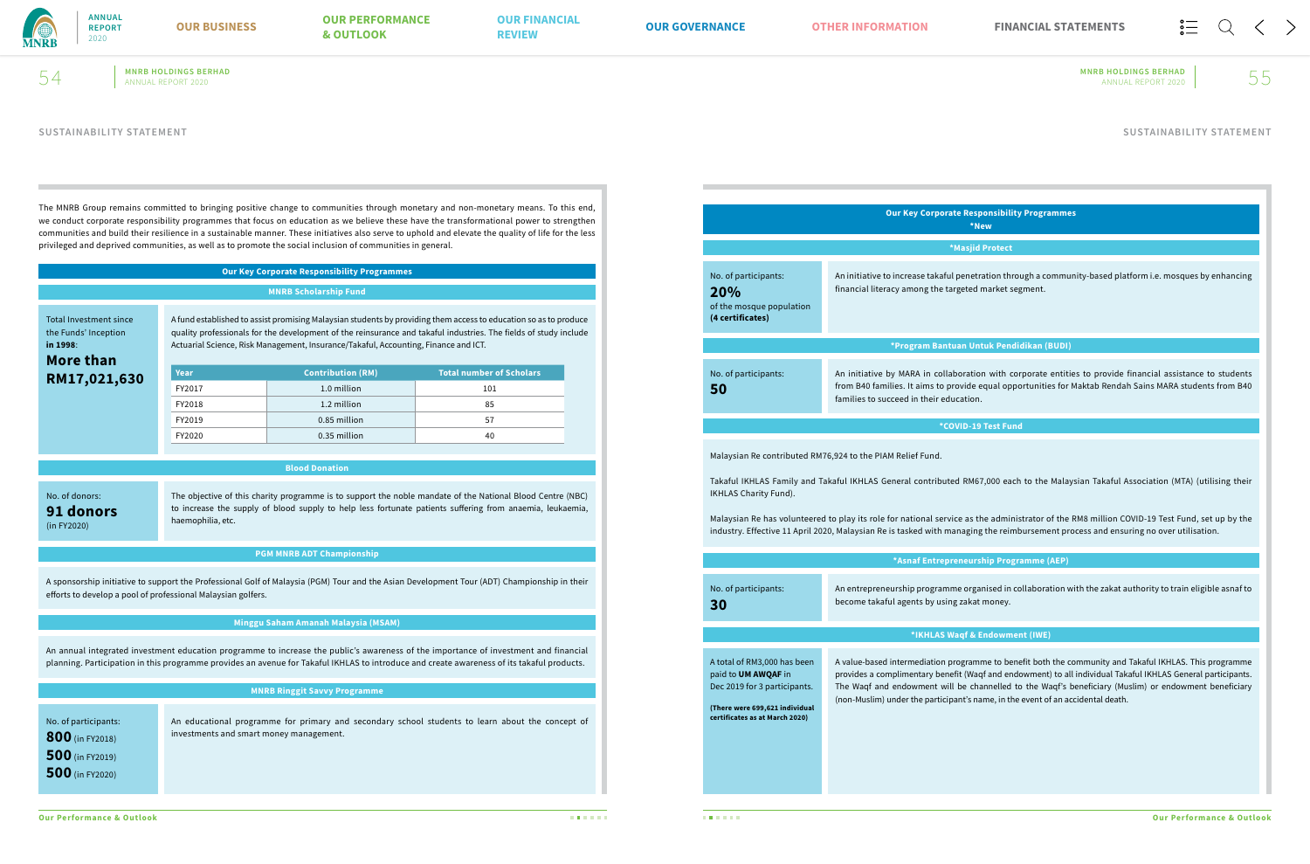

**MNRB HOLDINGS BERHAD MNRB HOLDINGS BERHAD**  $54$  MNRB HOLDINGS BERHAD MNRB HOLDINGS BERHAD ANNUAL REPORT 2020  $55$ 

The MNRB Group remains committed to bringing positive change to communities through monetary and non-monetary means. To this end, we conduct corporate responsibility programmes that focus on education as we believe these have the transformational power to strengthen communities and build their resilience in a sustainable manner. These initiatives also serve to uphold and elevate the quality of life for the less privileged and deprived communities, as well as to promote the social inclusion of communities in general.

# **Our Key Corporate Responsibility Programmes**

# **MNRB Scholarship Fund** A fund established to assist promising Malaysian students by providing them access to education so as to produce quality professionals for the development of the reinsurance and takaful industries. The fields of study include Actuarial Science, Risk Management, Insurance/Takaful, Accounting, Finance and ICT. **Year Contribution (RM) Total number of Scholars FY2017** 1.0 million 101 FY2018 1.2 million 85 **FY2019** 0.85 million 57 **FY2020** 1 0.35 million 1 40 **RM17,021,630** Total Investment since the Funds' Inception

**More than** 

**in 1998**:

**Blood Donation**

The objective of this charity programme is to support the noble mandate of the National Blood Centre (NBC) to increase the supply of blood supply to help less fortunate patients suffering from anaemia, leukaemia, haemophilia, etc.

## No. of donors:

**91 donors** (in FY2020)

## **PGM MNRB ADT Championship**

A sponsorship initiative to support the Professional Golf of Malaysia (PGM) Tour and the Asian Development Tour (ADT) Championship in their efforts to develop a pool of professional Malaysian golfers.

# **Minggu Saham Amanah Malaysia (MSAM)**

An annual integrated investment education programme to increase the public's awareness of the importance of investment and financial planning. Participation in this programme provides an avenue for Takaful IKHLAS to introduce and create awareness of its takaful products.

### **MNRB Ringgit Savvy Programme**

An educational programme for primary and secondary school students to learn about the concept of investments and smart money management. **800** (in FY2018)

No. of participants: **500** (in FY2019) **500** (in FY2020)

### **Our Key Corporate Responsibility Programmes \*New**

**\*Masjid Protect**

I penetration through a community-based platform i.e. mosques by enhancing argeted market segment.

|                                                                             | <b>Our Key Corporate Responsibil</b><br>*New                                                                                                                                                                                                                                                                                                                                                       |
|-----------------------------------------------------------------------------|----------------------------------------------------------------------------------------------------------------------------------------------------------------------------------------------------------------------------------------------------------------------------------------------------------------------------------------------------------------------------------------------------|
|                                                                             | *Masjid Protect                                                                                                                                                                                                                                                                                                                                                                                    |
| No. of participants:<br>20%<br>of the mosque population<br>(4 certificates) | An initiative to increase takaful penetration th<br>financial literacy among the targeted market                                                                                                                                                                                                                                                                                                   |
|                                                                             | *Program Bantuan Untuk Pen                                                                                                                                                                                                                                                                                                                                                                         |
| No. of participants:<br>50                                                  | An initiative by MARA in collaboration with<br>from B40 families. It aims to provide equal op<br>families to succeed in their education.                                                                                                                                                                                                                                                           |
|                                                                             | *COVID-19 Test Fu                                                                                                                                                                                                                                                                                                                                                                                  |
|                                                                             | Malaysian Re contributed RM76,924 to the PIAM Relief Fund.                                                                                                                                                                                                                                                                                                                                         |
| IKHLAS Charity Fund).                                                       |                                                                                                                                                                                                                                                                                                                                                                                                    |
|                                                                             |                                                                                                                                                                                                                                                                                                                                                                                                    |
| No. of participants:<br>30                                                  |                                                                                                                                                                                                                                                                                                                                                                                                    |
|                                                                             | Takaful IKHLAS Family and Takaful IKHLAS General contributed RM67,000 ea<br>Malaysian Re has volunteered to play its role for national service as the admi<br>industry. Effective 11 April 2020, Malaysian Re is tasked with managing the rei<br>*Asnaf Entrepreneurship Pro<br>An entrepreneurship programme organised in<br>become takaful agents by using zakat money.<br>*IKHLAS Waqf & Endown |

### **\*Program Bantuan Untuk Pendidikan (BUDI)**

boration with corporate entities to provide financial assistance to students rovide equal opportunities for Maktab Rendah Sains MARA students from B40 ucation.

### **\*COVID-19 Test Fund**

ed RM67,000 each to the Malaysian Takaful Association (MTA) (utilising their

ice as the administrator of the RM8 million COVID-19 Test Fund, set up by the anaging the reimbursement process and ensuring no over utilisation.

### **\*** eneurship Programme (AEP)

me organised in collaboration with the zakat authority to train eligible asnaf to

### *<u>Iaqf & Endowment (IWE)</u>*

rogramme to benefit both the community and Takaful IKHLAS. This programme efit (Waqf and endowment) to all individual Takaful IKHLAS General participants. I be channelled to the Waqf's beneficiary (Muslim) or endowment beneficiary ) ant's name, in the event of an accidental death.

**certificates as at March 2020)**

# **SUSTAINABILITY STATEMENT SUSTAINABILITY STATEMENT**